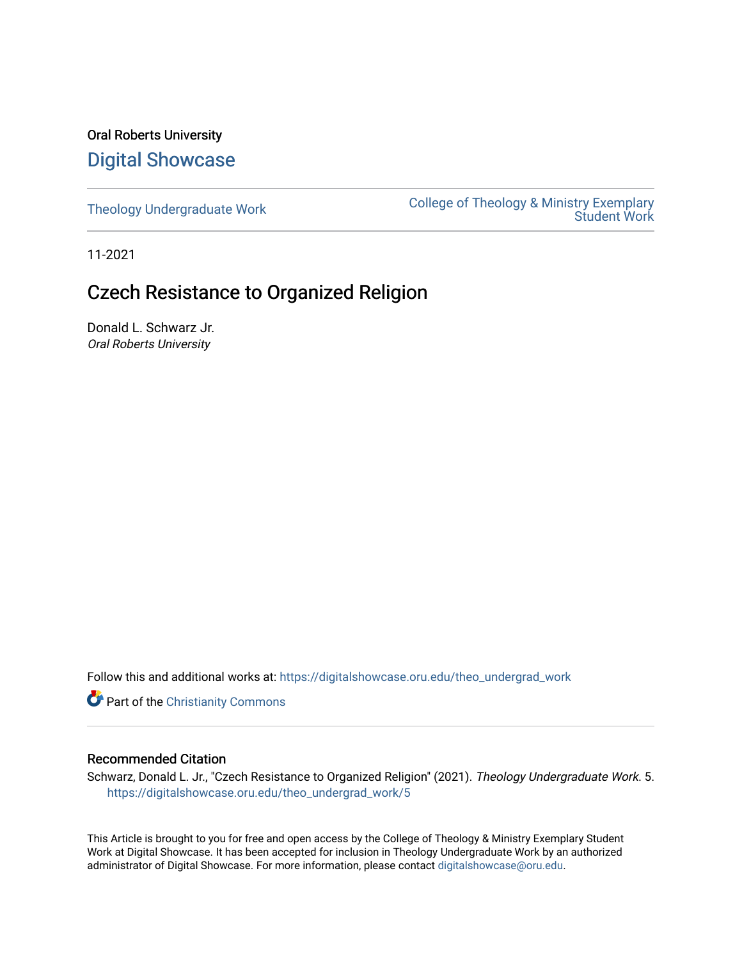Oral Roberts University [Digital Showcase](https://digitalshowcase.oru.edu/)

[Theology Undergraduate Work](https://digitalshowcase.oru.edu/theo_undergrad_work) College of Theology & Ministry Exemplary [Student Work](https://digitalshowcase.oru.edu/cotm_undergrad_work) 

11-2021

# Czech Resistance to Organized Religion

Donald L. Schwarz Jr. Oral Roberts University

Follow this and additional works at: [https://digitalshowcase.oru.edu/theo\\_undergrad\\_work](https://digitalshowcase.oru.edu/theo_undergrad_work?utm_source=digitalshowcase.oru.edu%2Ftheo_undergrad_work%2F5&utm_medium=PDF&utm_campaign=PDFCoverPages) 

**Part of the Christianity Commons** 

## Recommended Citation

Schwarz, Donald L. Jr., "Czech Resistance to Organized Religion" (2021). Theology Undergraduate Work. 5. [https://digitalshowcase.oru.edu/theo\\_undergrad\\_work/5](https://digitalshowcase.oru.edu/theo_undergrad_work/5?utm_source=digitalshowcase.oru.edu%2Ftheo_undergrad_work%2F5&utm_medium=PDF&utm_campaign=PDFCoverPages) 

This Article is brought to you for free and open access by the College of Theology & Ministry Exemplary Student Work at Digital Showcase. It has been accepted for inclusion in Theology Undergraduate Work by an authorized administrator of Digital Showcase. For more information, please contact [digitalshowcase@oru.edu.](mailto:digitalshowcase@oru.edu)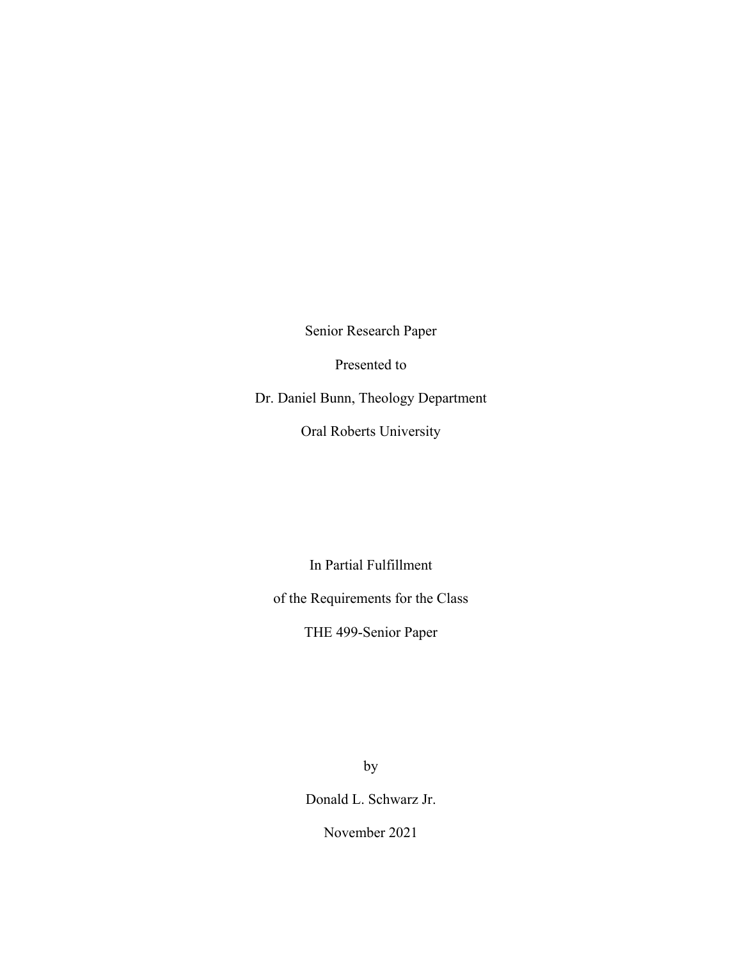Senior Research Paper

Presented to

Dr. Daniel Bunn, Theology Department

Oral Roberts University

In Partial Fulfillment

of the Requirements for the Class

THE 499-Senior Paper

by

Donald L. Schwarz Jr.

November 2021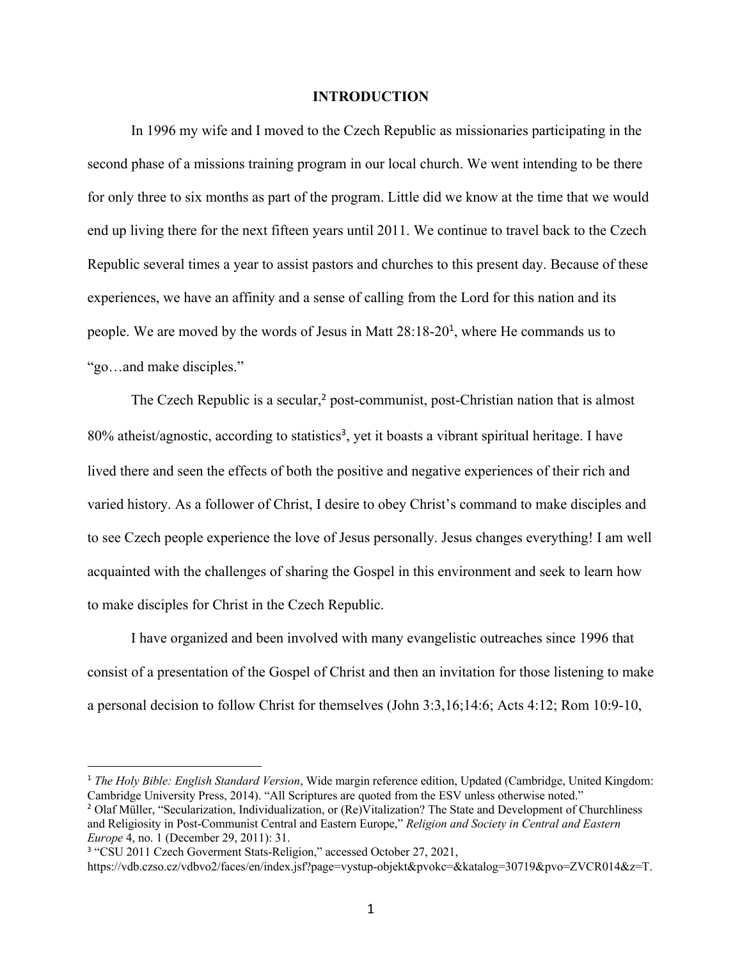#### **INTRODUCTION**

In 1996 my wife and I moved to the Czech Republic as missionaries participating in the second phase of a missions training program in our local church. We went intending to be there for only three to six months as part of the program. Little did we know at the time that we would end up living there for the next fifteen years until 2011. We continue to travel back to the Czech Republic several times a year to assist pastors and churches to this present day. Because of these experiences, we have an affinity and a sense of calling from the Lord for this nation and its people. We are moved by the words of Jesus in Matt 28:18-20<sup>1</sup>, where He commands us to "go…and make disciples."

The Czech Republic is a secular,<sup>2</sup> post-communist, post-Christian nation that is almost 80% atheist/agnostic, according to statistics<sup>3</sup>, yet it boasts a vibrant spiritual heritage. I have lived there and seen the effects of both the positive and negative experiences of their rich and varied history. As a follower of Christ, I desire to obey Christ's command to make disciples and to see Czech people experience the love of Jesus personally. Jesus changes everything! I am well acquainted with the challenges of sharing the Gospel in this environment and seek to learn how to make disciples for Christ in the Czech Republic.

I have organized and been involved with many evangelistic outreaches since 1996 that consist of a presentation of the Gospel of Christ and then an invitation for those listening to make a personal decision to follow Christ for themselves (John 3:3,16;14:6; Acts 4:12; Rom 10:9-10,

<sup>1</sup> *The Holy Bible: English Standard Version*, Wide margin reference edition, Updated (Cambridge, United Kingdom: Cambridge University Press, 2014). "All Scriptures are quoted from the ESV unless otherwise noted."

<sup>&</sup>lt;sup>2</sup> Olaf Müller, "Secularization, Individualization, or (Re)Vitalization? The State and Development of Churchliness and Religiosity in Post-Communist Central and Eastern Europe," *Religion and Society in Central and Eastern Europe* 4, no. 1 (December 29, 2011): 31.

<sup>3</sup> "CSU 2011 Czech Goverment Stats-Religion," accessed October 27, 2021,

https://vdb.czso.cz/vdbvo2/faces/en/index.jsf?page=vystup-objekt&pvokc=&katalog=30719&pvo=ZVCR014&z=T.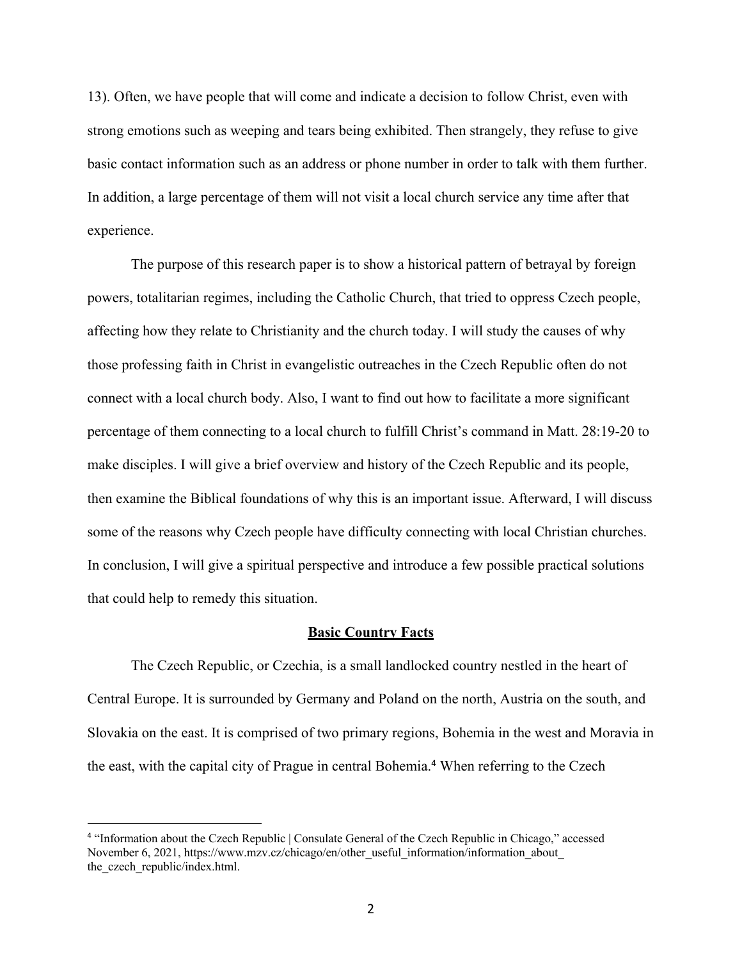13). Often, we have people that will come and indicate a decision to follow Christ, even with strong emotions such as weeping and tears being exhibited. Then strangely, they refuse to give basic contact information such as an address or phone number in order to talk with them further. In addition, a large percentage of them will not visit a local church service any time after that experience.

The purpose of this research paper is to show a historical pattern of betrayal by foreign powers, totalitarian regimes, including the Catholic Church, that tried to oppress Czech people, affecting how they relate to Christianity and the church today. I will study the causes of why those professing faith in Christ in evangelistic outreaches in the Czech Republic often do not connect with a local church body. Also, I want to find out how to facilitate a more significant percentage of them connecting to a local church to fulfill Christ's command in Matt. 28:19-20 to make disciples. I will give a brief overview and history of the Czech Republic and its people, then examine the Biblical foundations of why this is an important issue. Afterward, I will discuss some of the reasons why Czech people have difficulty connecting with local Christian churches. In conclusion, I will give a spiritual perspective and introduce a few possible practical solutions that could help to remedy this situation.

#### **Basic Country Facts**

The Czech Republic, or Czechia, is a small landlocked country nestled in the heart of Central Europe. It is surrounded by Germany and Poland on the north, Austria on the south, and Slovakia on the east. It is comprised of two primary regions, Bohemia in the west and Moravia in the east, with the capital city of Prague in central Bohemia.<sup>4</sup> When referring to the Czech

<sup>4</sup> "Information about the Czech Republic | Consulate General of the Czech Republic in Chicago," accessed November 6, 2021, https://www.mzv.cz/chicago/en/other\_useful\_information/information\_about the czech republic/index.html.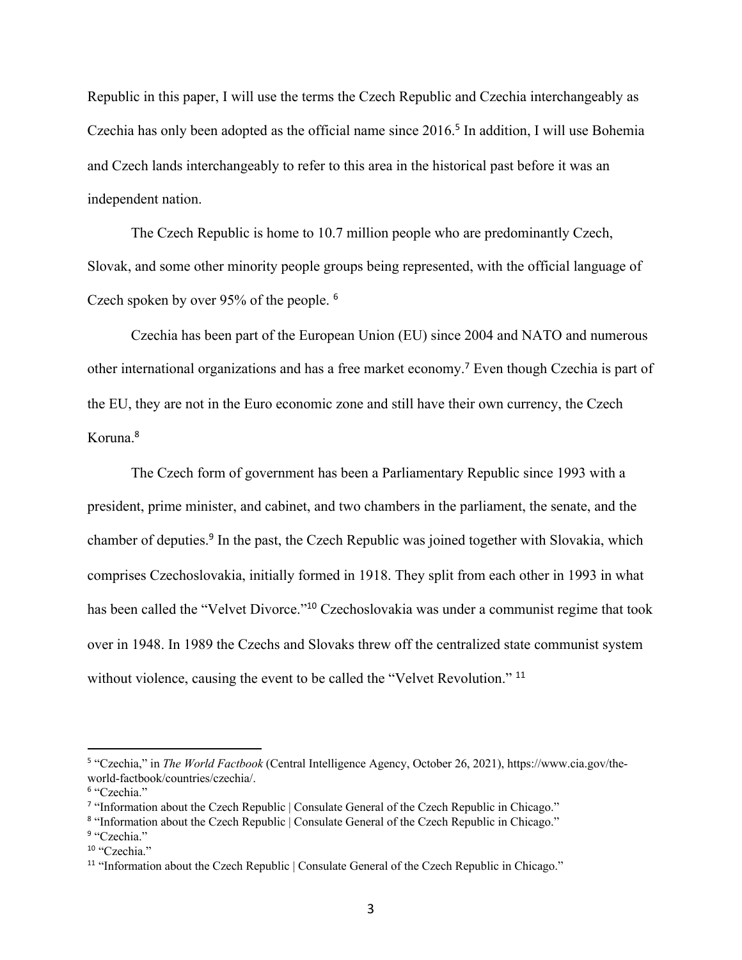Republic in this paper, I will use the terms the Czech Republic and Czechia interchangeably as Czechia has only been adopted as the official name since 2016.<sup>5</sup> In addition, I will use Bohemia and Czech lands interchangeably to refer to this area in the historical past before it was an independent nation.

The Czech Republic is home to 10.7 million people who are predominantly Czech, Slovak, and some other minority people groups being represented, with the official language of Czech spoken by over 95% of the people. <sup>6</sup>

Czechia has been part of the European Union (EU) since 2004 and NATO and numerous other international organizations and has a free market economy. <sup>7</sup> Even though Czechia is part of the EU, they are not in the Euro economic zone and still have their own currency, the Czech Koruna.<sup>8</sup>

The Czech form of government has been a Parliamentary Republic since 1993 with a president, prime minister, and cabinet, and two chambers in the parliament, the senate, and the chamber of deputies.<sup>9</sup> In the past, the Czech Republic was joined together with Slovakia, which comprises Czechoslovakia, initially formed in 1918. They split from each other in 1993 in what has been called the "Velvet Divorce."<sup>10</sup> Czechoslovakia was under a communist regime that took over in 1948. In 1989 the Czechs and Slovaks threw off the centralized state communist system without violence, causing the event to be called the "Velvet Revolution." <sup>11</sup>

<sup>5</sup> "Czechia," in *The World Factbook* (Central Intelligence Agency, October 26, 2021), https://www.cia.gov/theworld-factbook/countries/czechia/.

<sup>6</sup> "Czechia."

<sup>7</sup> "Information about the Czech Republic | Consulate General of the Czech Republic in Chicago."

<sup>8</sup> "Information about the Czech Republic | Consulate General of the Czech Republic in Chicago."

<sup>&</sup>lt;sup>9</sup> "Czechia."

<sup>&</sup>lt;sup>10</sup> "Czechia."

<sup>&</sup>lt;sup>11</sup> "Information about the Czech Republic | Consulate General of the Czech Republic in Chicago."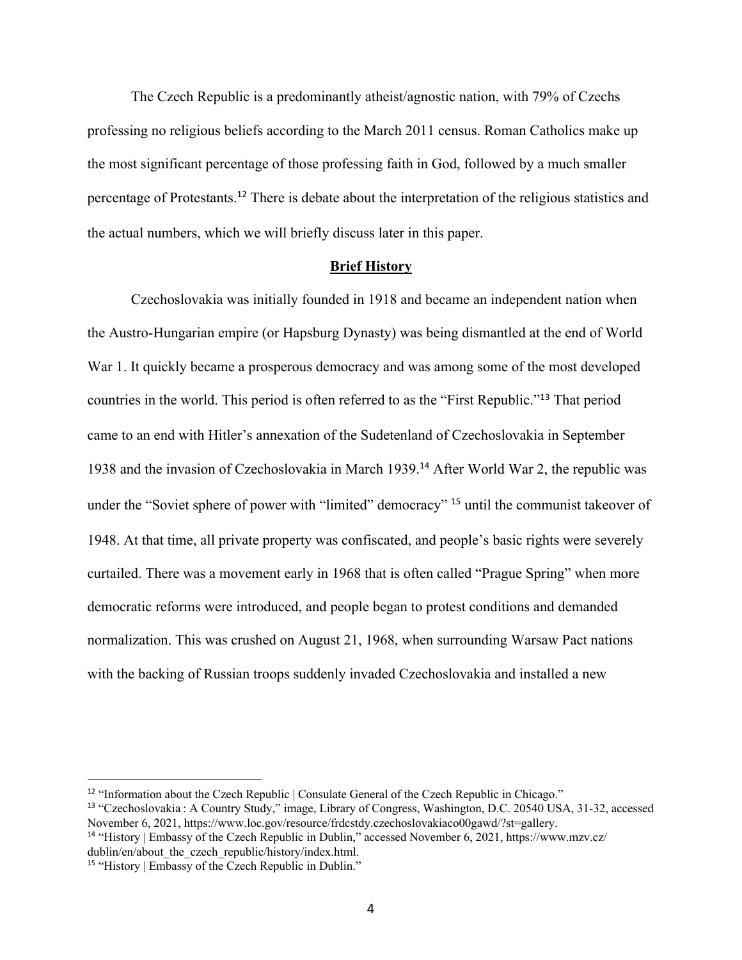The Czech Republic is a predominantly atheist/agnostic nation, with 79% of Czechs professing no religious beliefs according to the March 2011 census. Roman Catholics make up the most significant percentage of those professing faith in God, followed by a much smaller percentage of Protestants.<sup>12</sup> There is debate about the interpretation of the religious statistics and the actual numbers, which we will briefly discuss later in this paper.

## **Brief History**

Czechoslovakia was initially founded in 1918 and became an independent nation when the Austro-Hungarian empire (or Hapsburg Dynasty) was being dismantled at the end of World War 1. It quickly became a prosperous democracy and was among some of the most developed countries in the world. This period is often referred to as the "First Republic."<sup>13</sup> That period came to an end with Hitler's annexation of the Sudetenland of Czechoslovakia in September 1938 and the invasion of Czechoslovakia in March 1939.<sup>14</sup> After World War 2, the republic was under the "Soviet sphere of power with "limited" democracy" <sup>15</sup> until the communist takeover of 1948. At that time, all private property was confiscated, and people's basic rights were severely curtailed. There was a movement early in 1968 that is often called "Prague Spring" when more democratic reforms were introduced, and people began to protest conditions and demanded normalization. This was crushed on August 21, 1968, when surrounding Warsaw Pact nations with the backing of Russian troops suddenly invaded Czechoslovakia and installed a new

<sup>&</sup>lt;sup>12</sup> "Information about the Czech Republic | Consulate General of the Czech Republic in Chicago."

<sup>13</sup> "Czechoslovakia : A Country Study," image, Library of Congress, Washington, D.C. 20540 USA, 31-32, accessed November 6, 2021, https://www.loc.gov/resource/frdcstdy.czechoslovakiaco00gawd/?st=gallery. <sup>14</sup> "History | Embassy of the Czech Republic in Dublin," accessed November 6, 2021, https://www.mzv.cz/

dublin/en/about\_the\_czech\_republic/history/index.html.

<sup>15</sup> "History | Embassy of the Czech Republic in Dublin."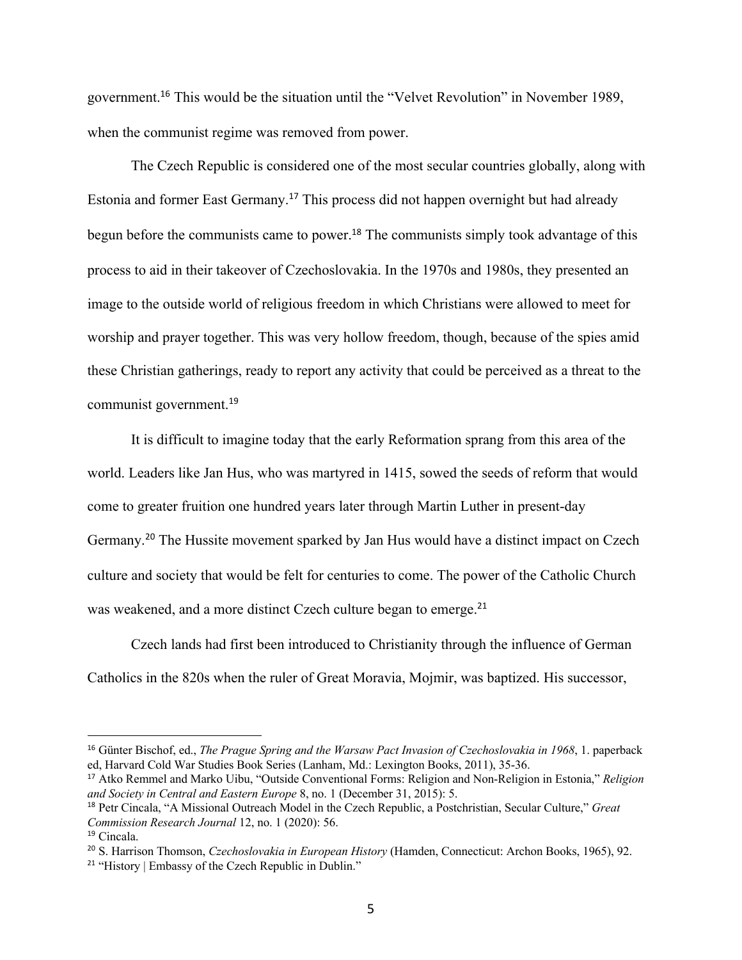government.<sup>16</sup> This would be the situation until the "Velvet Revolution" in November 1989, when the communist regime was removed from power.

The Czech Republic is considered one of the most secular countries globally, along with Estonia and former East Germany.<sup>17</sup> This process did not happen overnight but had already begun before the communists came to power.<sup>18</sup> The communists simply took advantage of this process to aid in their takeover of Czechoslovakia. In the 1970s and 1980s, they presented an image to the outside world of religious freedom in which Christians were allowed to meet for worship and prayer together. This was very hollow freedom, though, because of the spies amid these Christian gatherings, ready to report any activity that could be perceived as a threat to the communist government.<sup>19</sup>

It is difficult to imagine today that the early Reformation sprang from this area of the world. Leaders like Jan Hus, who was martyred in 1415, sowed the seeds of reform that would come to greater fruition one hundred years later through Martin Luther in present-day Germany.<sup>20</sup> The Hussite movement sparked by Jan Hus would have a distinct impact on Czech culture and society that would be felt for centuries to come. The power of the Catholic Church was weakened, and a more distinct Czech culture began to emerge.<sup>21</sup>

Czech lands had first been introduced to Christianity through the influence of German Catholics in the 820s when the ruler of Great Moravia, Mojmir, was baptized. His successor,

<sup>16</sup> Günter Bischof, ed., *The Prague Spring and the Warsaw Pact Invasion of Czechoslovakia in 1968*, 1. paperback ed, Harvard Cold War Studies Book Series (Lanham, Md.: Lexington Books, 2011), 35-36.

<sup>17</sup> Atko Remmel and Marko Uibu, "Outside Conventional Forms: Religion and Non-Religion in Estonia," *Religion and Society in Central and Eastern Europe* 8, no. 1 (December 31, 2015): 5.

<sup>18</sup> Petr Cincala, "A Missional Outreach Model in the Czech Republic, a Postchristian, Secular Culture," *Great Commission Research Journal* 12, no. 1 (2020): 56.

<sup>19</sup> Cincala.

<sup>20</sup> S. Harrison Thomson, *Czechoslovakia in European History* (Hamden, Connecticut: Archon Books, 1965), 92.

<sup>&</sup>lt;sup>21</sup> "History | Embassy of the Czech Republic in Dublin."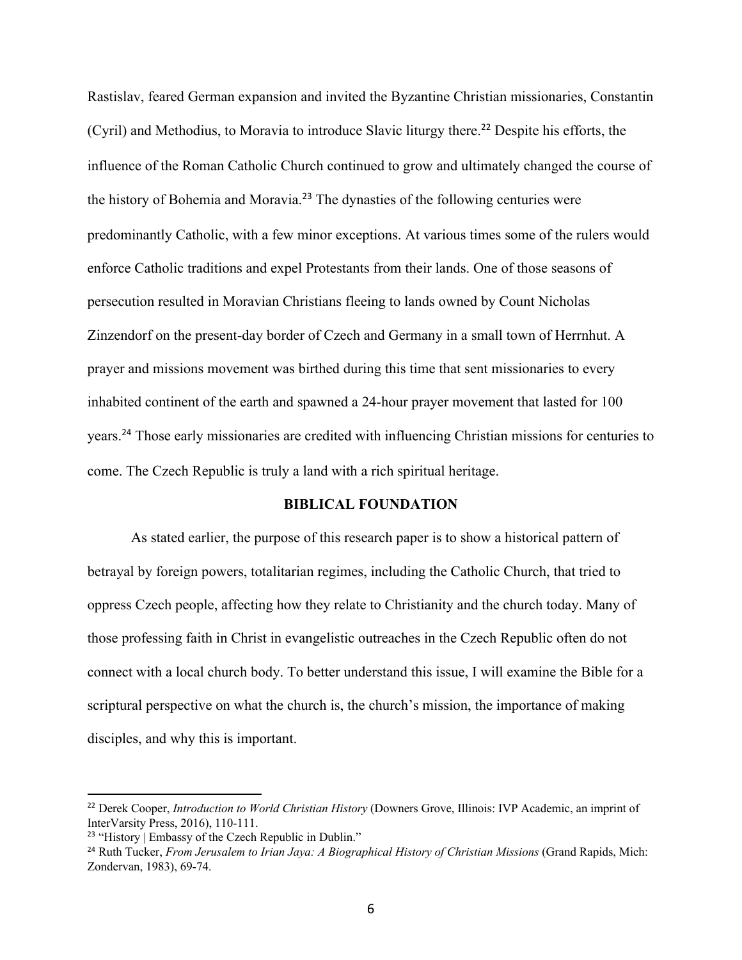Rastislav, feared German expansion and invited the Byzantine Christian missionaries, Constantin (Cyril) and Methodius, to Moravia to introduce Slavic liturgy there.<sup>22</sup> Despite his efforts, the influence of the Roman Catholic Church continued to grow and ultimately changed the course of the history of Bohemia and Moravia.<sup>23</sup> The dynasties of the following centuries were predominantly Catholic, with a few minor exceptions. At various times some of the rulers would enforce Catholic traditions and expel Protestants from their lands. One of those seasons of persecution resulted in Moravian Christians fleeing to lands owned by Count Nicholas Zinzendorf on the present-day border of Czech and Germany in a small town of Herrnhut. A prayer and missions movement was birthed during this time that sent missionaries to every inhabited continent of the earth and spawned a 24-hour prayer movement that lasted for 100 years.<sup>24</sup> Those early missionaries are credited with influencing Christian missions for centuries to come. The Czech Republic is truly a land with a rich spiritual heritage.

## **BIBLICAL FOUNDATION**

As stated earlier, the purpose of this research paper is to show a historical pattern of betrayal by foreign powers, totalitarian regimes, including the Catholic Church, that tried to oppress Czech people, affecting how they relate to Christianity and the church today. Many of those professing faith in Christ in evangelistic outreaches in the Czech Republic often do not connect with a local church body. To better understand this issue, I will examine the Bible for a scriptural perspective on what the church is, the church's mission, the importance of making disciples, and why this is important.

<sup>22</sup> Derek Cooper, *Introduction to World Christian History* (Downers Grove, Illinois: IVP Academic, an imprint of InterVarsity Press, 2016), 110-111.

<sup>&</sup>lt;sup>23</sup> "History | Embassy of the Czech Republic in Dublin."

<sup>24</sup> Ruth Tucker, *From Jerusalem to Irian Jaya: A Biographical History of Christian Missions* (Grand Rapids, Mich: Zondervan, 1983), 69-74.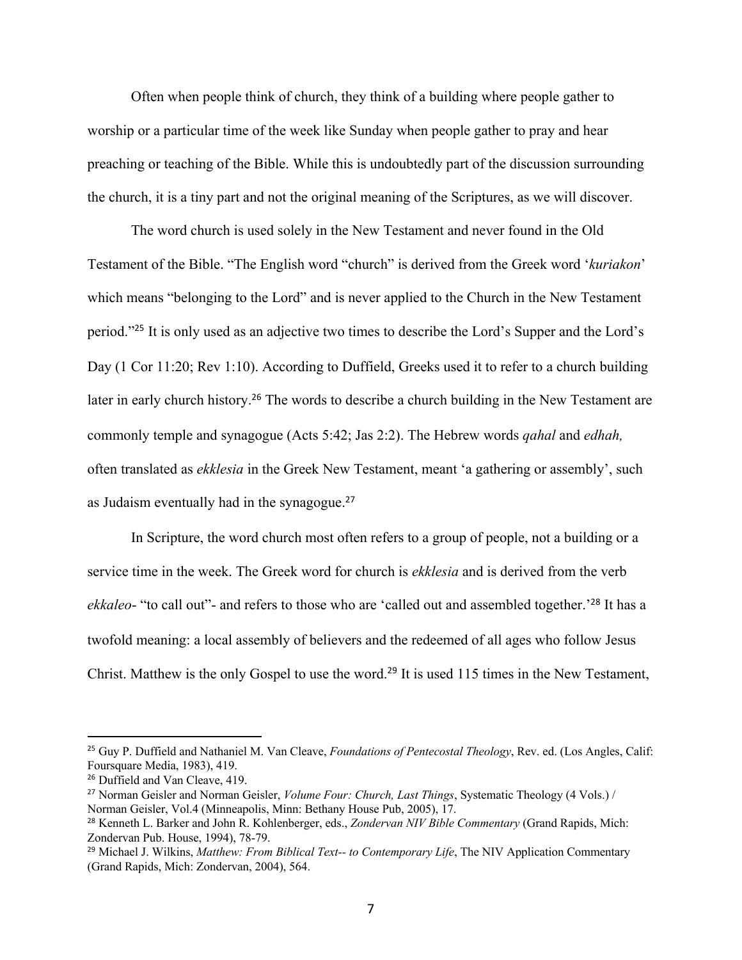Often when people think of church, they think of a building where people gather to worship or a particular time of the week like Sunday when people gather to pray and hear preaching or teaching of the Bible. While this is undoubtedly part of the discussion surrounding the church, it is a tiny part and not the original meaning of the Scriptures, as we will discover.

The word church is used solely in the New Testament and never found in the Old Testament of the Bible. "The English word "church" is derived from the Greek word '*kuriakon*' which means "belonging to the Lord" and is never applied to the Church in the New Testament period."<sup>25</sup> It is only used as an adjective two times to describe the Lord's Supper and the Lord's Day (1 Cor 11:20; Rev 1:10). According to Duffield, Greeks used it to refer to a church building later in early church history.<sup>26</sup> The words to describe a church building in the New Testament are commonly temple and synagogue (Acts 5:42; Jas 2:2). The Hebrew words *qahal* and *edhah,* often translated as *ekklesia* in the Greek New Testament, meant 'a gathering or assembly', such as Judaism eventually had in the synagogue.<sup>27</sup>

In Scripture, the word church most often refers to a group of people, not a building or a service time in the week. The Greek word for church is *ekklesia* and is derived from the verb ekkaleo- "to call out"- and refers to those who are 'called out and assembled together.'<sup>28</sup> It has a twofold meaning: a local assembly of believers and the redeemed of all ages who follow Jesus Christ. Matthew is the only Gospel to use the word.<sup>29</sup> It is used 115 times in the New Testament,

<sup>25</sup> Guy P. Duffield and Nathaniel M. Van Cleave, *Foundations of Pentecostal Theology*, Rev. ed. (Los Angles, Calif: Foursquare Media, 1983), 419.

<sup>&</sup>lt;sup>26</sup> Duffield and Van Cleave, 419.

<sup>27</sup> Norman Geisler and Norman Geisler, *Volume Four: Church, Last Things*, Systematic Theology (4 Vols.) / Norman Geisler, Vol.4 (Minneapolis, Minn: Bethany House Pub, 2005), 17.

<sup>28</sup> Kenneth L. Barker and John R. Kohlenberger, eds., *Zondervan NIV Bible Commentary* (Grand Rapids, Mich: Zondervan Pub. House, 1994), 78-79.

<sup>29</sup> Michael J. Wilkins, *Matthew: From Biblical Text-- to Contemporary Life*, The NIV Application Commentary (Grand Rapids, Mich: Zondervan, 2004), 564.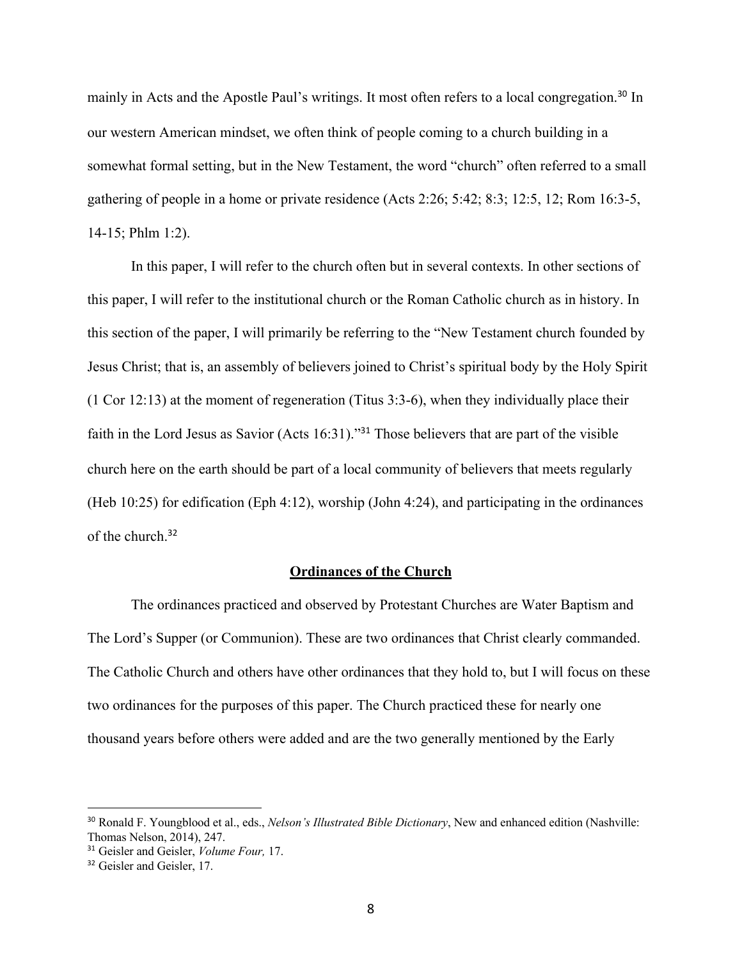mainly in Acts and the Apostle Paul's writings. It most often refers to a local congregation.<sup>30</sup> In our western American mindset, we often think of people coming to a church building in a somewhat formal setting, but in the New Testament, the word "church" often referred to a small gathering of people in a home or private residence (Acts 2:26; 5:42; 8:3; 12:5, 12; Rom 16:3-5, 14-15; Phlm 1:2).

In this paper, I will refer to the church often but in several contexts. In other sections of this paper, I will refer to the institutional church or the Roman Catholic church as in history. In this section of the paper, I will primarily be referring to the "New Testament church founded by Jesus Christ; that is, an assembly of believers joined to Christ's spiritual body by the Holy Spirit (1 Cor 12:13) at the moment of regeneration (Titus 3:3-6), when they individually place their faith in the Lord Jesus as Savior (Acts 16:31)."<sup>31</sup> Those believers that are part of the visible church here on the earth should be part of a local community of believers that meets regularly (Heb 10:25) for edification (Eph 4:12), worship (John 4:24), and participating in the ordinances of the church.<sup>32</sup>

## **Ordinances of the Church**

The ordinances practiced and observed by Protestant Churches are Water Baptism and The Lord's Supper (or Communion). These are two ordinances that Christ clearly commanded. The Catholic Church and others have other ordinances that they hold to, but I will focus on these two ordinances for the purposes of this paper. The Church practiced these for nearly one thousand years before others were added and are the two generally mentioned by the Early

<sup>30</sup> Ronald F. Youngblood et al., eds., *Nelson's Illustrated Bible Dictionary*, New and enhanced edition (Nashville: Thomas Nelson, 2014), 247.

<sup>31</sup> Geisler and Geisler, *Volume Four,* 17.

<sup>&</sup>lt;sup>32</sup> Geisler and Geisler, 17.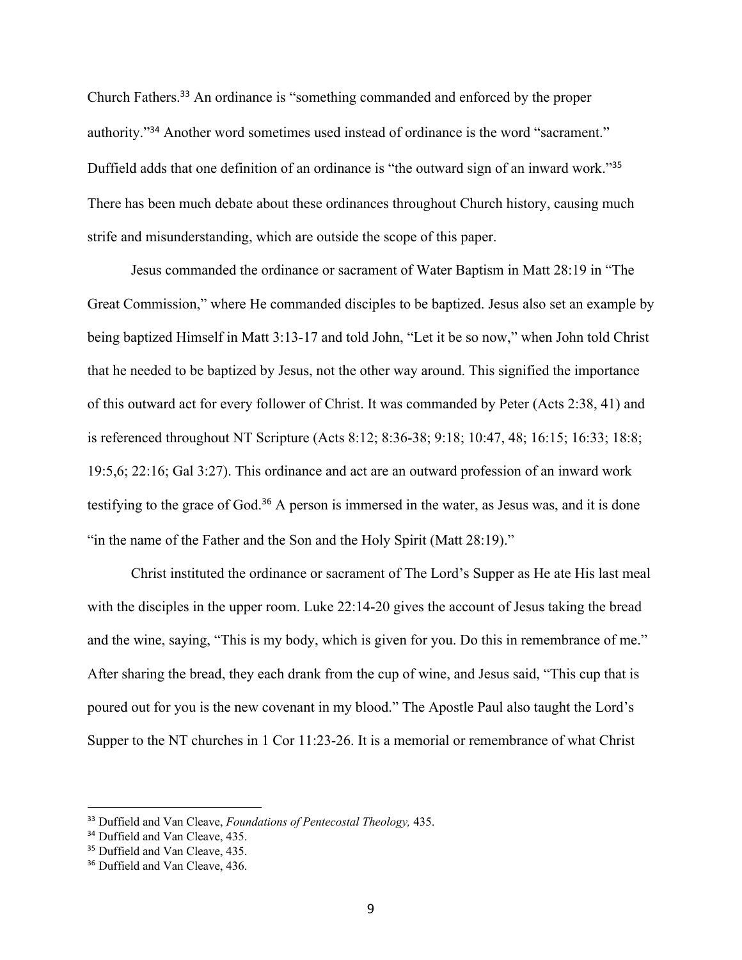Church Fathers.<sup>33</sup> An ordinance is "something commanded and enforced by the proper authority."<sup>34</sup> Another word sometimes used instead of ordinance is the word "sacrament." Duffield adds that one definition of an ordinance is "the outward sign of an inward work."<sup>35</sup> There has been much debate about these ordinances throughout Church history, causing much strife and misunderstanding, which are outside the scope of this paper.

Jesus commanded the ordinance or sacrament of Water Baptism in Matt 28:19 in "The Great Commission," where He commanded disciples to be baptized. Jesus also set an example by being baptized Himself in Matt 3:13-17 and told John, "Let it be so now," when John told Christ that he needed to be baptized by Jesus, not the other way around. This signified the importance of this outward act for every follower of Christ. It was commanded by Peter (Acts 2:38, 41) and is referenced throughout NT Scripture (Acts 8:12; 8:36-38; 9:18; 10:47, 48; 16:15; 16:33; 18:8; 19:5,6; 22:16; Gal 3:27). This ordinance and act are an outward profession of an inward work testifying to the grace of God.<sup>36</sup> A person is immersed in the water, as Jesus was, and it is done "in the name of the Father and the Son and the Holy Spirit (Matt 28:19)."

Christ instituted the ordinance or sacrament of The Lord's Supper as He ate His last meal with the disciples in the upper room. Luke 22:14-20 gives the account of Jesus taking the bread and the wine, saying, "This is my body, which is given for you. Do this in remembrance of me." After sharing the bread, they each drank from the cup of wine, and Jesus said, "This cup that is poured out for you is the new covenant in my blood." The Apostle Paul also taught the Lord's Supper to the NT churches in 1 Cor 11:23-26. It is a memorial or remembrance of what Christ

<sup>33</sup> Duffield and Van Cleave, *Foundations of Pentecostal Theology,* 435.

<sup>&</sup>lt;sup>34</sup> Duffield and Van Cleave, 435.

<sup>&</sup>lt;sup>35</sup> Duffield and Van Cleave, 435.

<sup>&</sup>lt;sup>36</sup> Duffield and Van Cleave, 436.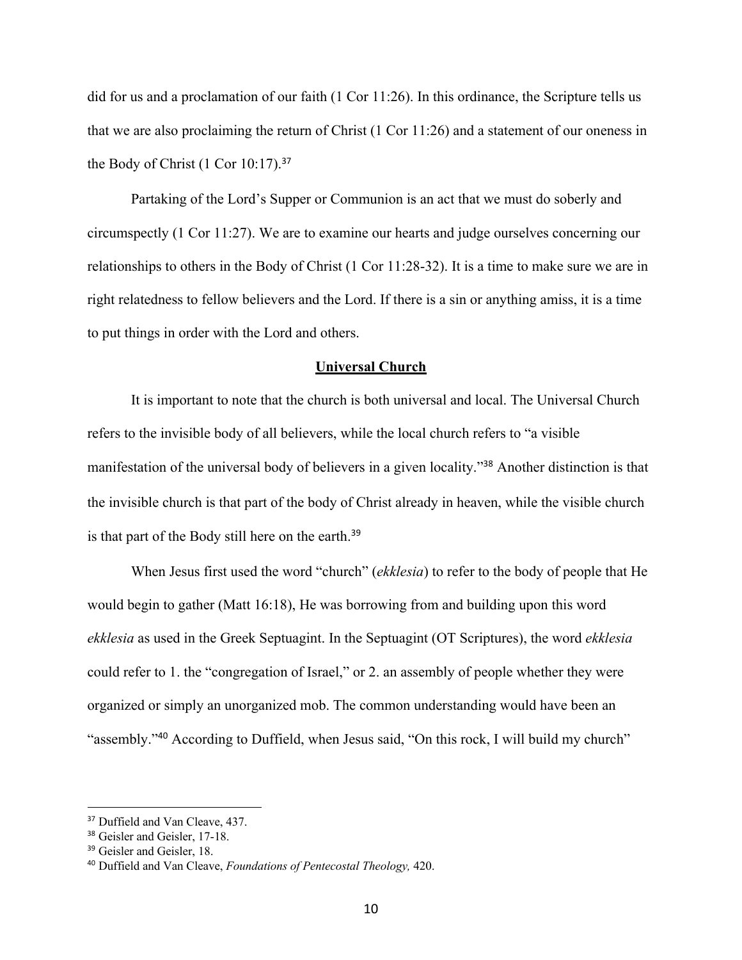did for us and a proclamation of our faith (1 Cor 11:26). In this ordinance, the Scripture tells us that we are also proclaiming the return of Christ (1 Cor 11:26) and a statement of our oneness in the Body of Christ (1 Cor 10:17).<sup>37</sup>

Partaking of the Lord's Supper or Communion is an act that we must do soberly and circumspectly (1 Cor 11:27). We are to examine our hearts and judge ourselves concerning our relationships to others in the Body of Christ (1 Cor 11:28-32). It is a time to make sure we are in right relatedness to fellow believers and the Lord. If there is a sin or anything amiss, it is a time to put things in order with the Lord and others.

## **Universal Church**

It is important to note that the church is both universal and local. The Universal Church refers to the invisible body of all believers, while the local church refers to "a visible manifestation of the universal body of believers in a given locality."<sup>38</sup> Another distinction is that the invisible church is that part of the body of Christ already in heaven, while the visible church is that part of the Body still here on the earth.<sup>39</sup>

When Jesus first used the word "church" (*ekklesia*) to refer to the body of people that He would begin to gather (Matt 16:18), He was borrowing from and building upon this word *ekklesia* as used in the Greek Septuagint. In the Septuagint (OT Scriptures), the word *ekklesia*  could refer to 1. the "congregation of Israel," or 2. an assembly of people whether they were organized or simply an unorganized mob. The common understanding would have been an "assembly."<sup>40</sup> According to Duffield, when Jesus said, "On this rock, I will build my church"

<sup>&</sup>lt;sup>37</sup> Duffield and Van Cleave, 437.

<sup>&</sup>lt;sup>38</sup> Geisler and Geisler, 17-18.

<sup>&</sup>lt;sup>39</sup> Geisler and Geisler, 18.

<sup>40</sup> Duffield and Van Cleave, *Foundations of Pentecostal Theology,* 420.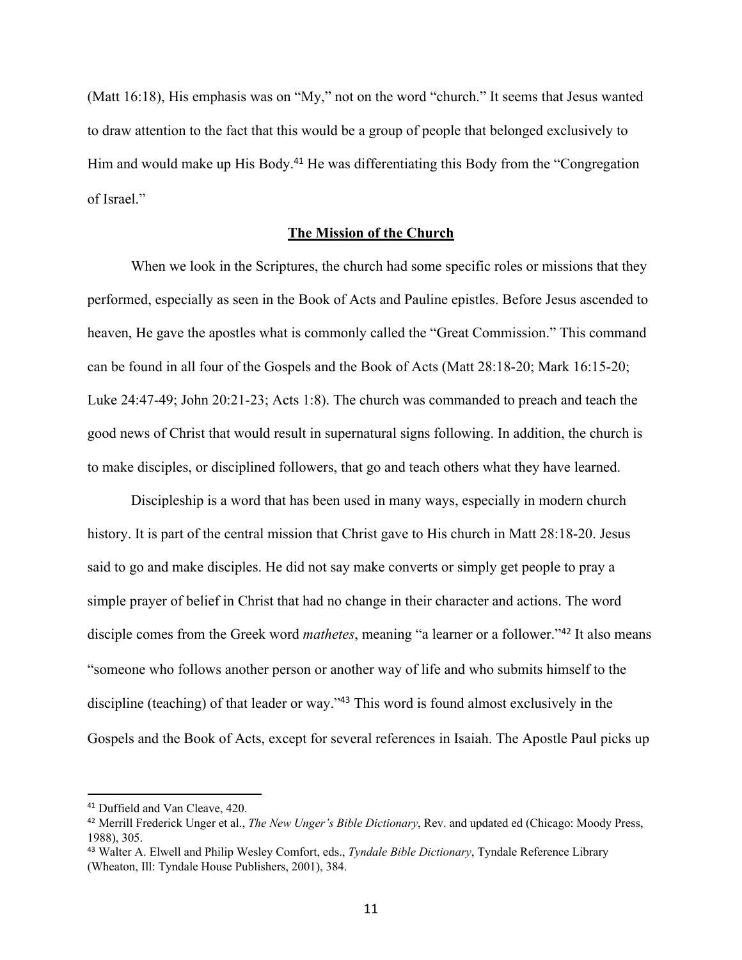(Matt 16:18), His emphasis was on "My," not on the word "church." It seems that Jesus wanted to draw attention to the fact that this would be a group of people that belonged exclusively to Him and would make up His Body.<sup>41</sup> He was differentiating this Body from the "Congregation of Israel."

## **The Mission of the Church**

When we look in the Scriptures, the church had some specific roles or missions that they performed, especially as seen in the Book of Acts and Pauline epistles. Before Jesus ascended to heaven, He gave the apostles what is commonly called the "Great Commission." This command can be found in all four of the Gospels and the Book of Acts (Matt 28:18-20; Mark 16:15-20; Luke 24:47-49; John 20:21-23; Acts 1:8). The church was commanded to preach and teach the good news of Christ that would result in supernatural signs following. In addition, the church is to make disciples, or disciplined followers, that go and teach others what they have learned.

Discipleship is a word that has been used in many ways, especially in modern church history. It is part of the central mission that Christ gave to His church in Matt 28:18-20. Jesus said to go and make disciples. He did not say make converts or simply get people to pray a simple prayer of belief in Christ that had no change in their character and actions. The word disciple comes from the Greek word *mathetes*, meaning "a learner or a follower."<sup>42</sup> It also means "someone who follows another person or another way of life and who submits himself to the discipline (teaching) of that leader or way."<sup>43</sup> This word is found almost exclusively in the Gospels and the Book of Acts, except for several references in Isaiah. The Apostle Paul picks up

<sup>41</sup> Duffield and Van Cleave, 420.

<sup>42</sup> Merrill Frederick Unger et al., *The New Unger's Bible Dictionary*, Rev. and updated ed (Chicago: Moody Press, 1988), 305.

<sup>43</sup> Walter A. Elwell and Philip Wesley Comfort, eds., *Tyndale Bible Dictionary*, Tyndale Reference Library (Wheaton, Ill: Tyndale House Publishers, 2001), 384.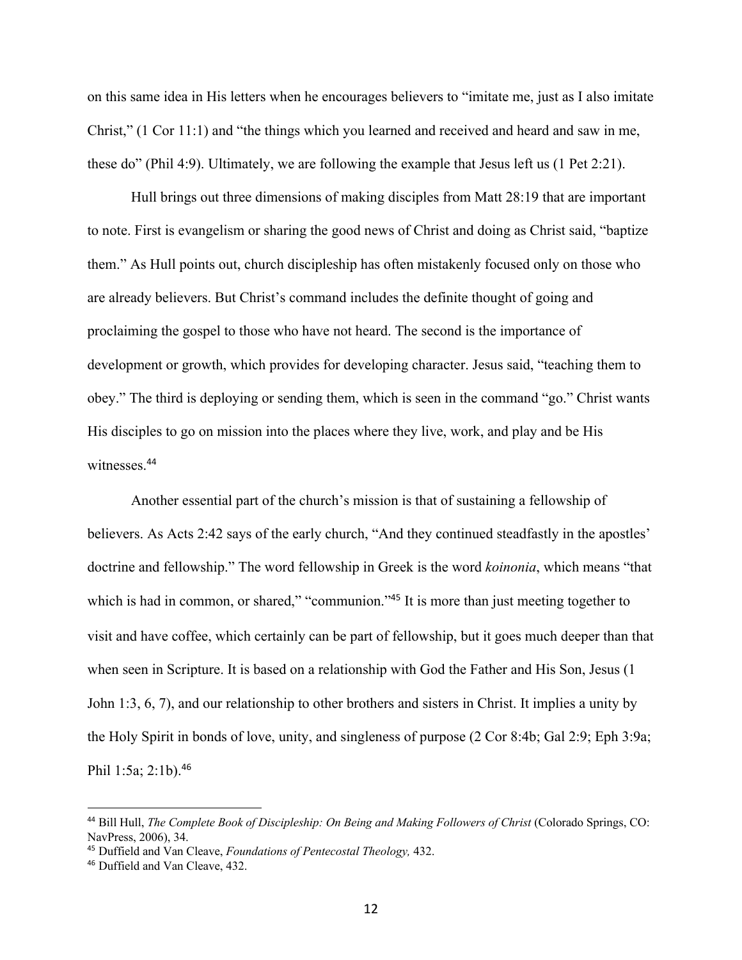on this same idea in His letters when he encourages believers to "imitate me, just as I also imitate Christ," (1 Cor 11:1) and "the things which you learned and received and heard and saw in me, these do" (Phil 4:9). Ultimately, we are following the example that Jesus left us (1 Pet 2:21).

Hull brings out three dimensions of making disciples from Matt 28:19 that are important to note. First is evangelism or sharing the good news of Christ and doing as Christ said, "baptize them." As Hull points out, church discipleship has often mistakenly focused only on those who are already believers. But Christ's command includes the definite thought of going and proclaiming the gospel to those who have not heard. The second is the importance of development or growth, which provides for developing character. Jesus said, "teaching them to obey." The third is deploying or sending them, which is seen in the command "go." Christ wants His disciples to go on mission into the places where they live, work, and play and be His witnesses.<sup>44</sup>

Another essential part of the church's mission is that of sustaining a fellowship of believers. As Acts 2:42 says of the early church, "And they continued steadfastly in the apostles' doctrine and fellowship." The word fellowship in Greek is the word *koinonia*, which means "that which is had in common, or shared," "communion."<sup>45</sup> It is more than just meeting together to visit and have coffee, which certainly can be part of fellowship, but it goes much deeper than that when seen in Scripture. It is based on a relationship with God the Father and His Son, Jesus (1 John 1:3, 6, 7), and our relationship to other brothers and sisters in Christ. It implies a unity by the Holy Spirit in bonds of love, unity, and singleness of purpose (2 Cor 8:4b; Gal 2:9; Eph 3:9a; Phil 1:5a; 2:1b).<sup>46</sup>

<sup>&</sup>lt;sup>44</sup> Bill Hull, *The Complete Book of Discipleship: On Being and Making Followers of Christ* (Colorado Springs, CO: NavPress, 2006), 34.

<sup>45</sup> Duffield and Van Cleave, *Foundations of Pentecostal Theology,* 432.

<sup>46</sup> Duffield and Van Cleave, 432.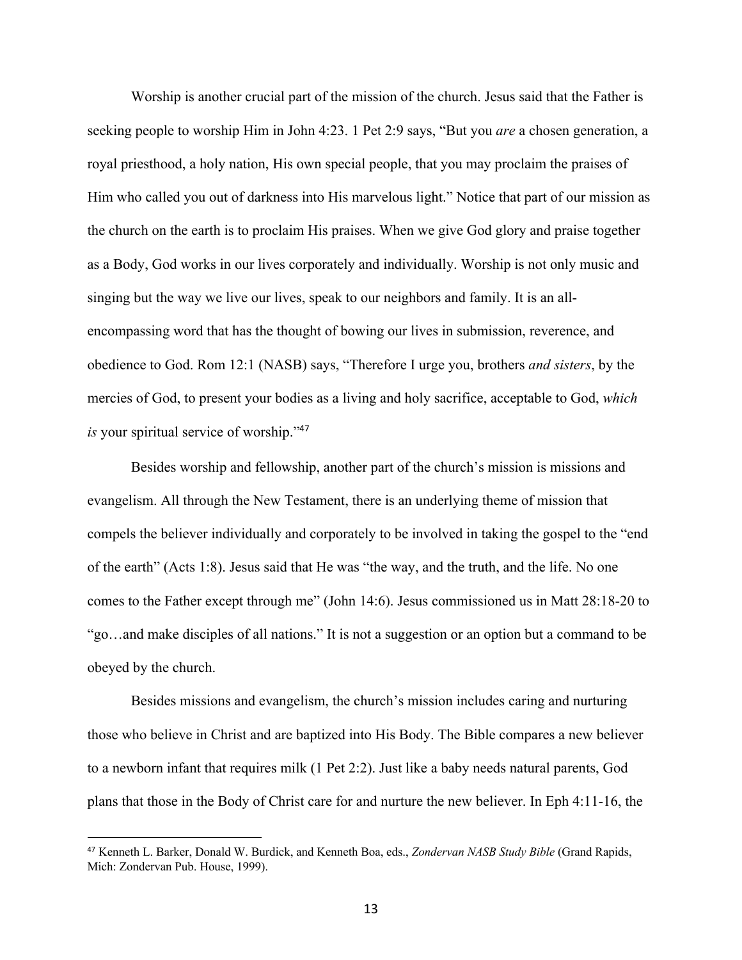Worship is another crucial part of the mission of the church. Jesus said that the Father is seeking people to worship Him in John 4:23. 1 Pet 2:9 says, "But you *are* a chosen generation, a royal priesthood, a holy nation, His own special people, that you may proclaim the praises of Him who called you out of darkness into His marvelous light." Notice that part of our mission as the church on the earth is to proclaim His praises. When we give God glory and praise together as a Body, God works in our lives corporately and individually. Worship is not only music and singing but the way we live our lives, speak to our neighbors and family. It is an allencompassing word that has the thought of bowing our lives in submission, reverence, and obedience to God. Rom 12:1 (NASB) says, "Therefore I urge you, brothers *and sisters*, by the mercies of God, to present your bodies as a living and holy sacrifice, acceptable to God, *which is* your spiritual service of worship."<sup>47</sup>

Besides worship and fellowship, another part of the church's mission is missions and evangelism. All through the New Testament, there is an underlying theme of mission that compels the believer individually and corporately to be involved in taking the gospel to the "end of the earth" (Acts 1:8). Jesus said that He was "the way, and the truth, and the life. No one comes to the Father except through me" (John 14:6). Jesus commissioned us in Matt 28:18-20 to "go…and make disciples of all nations." It is not a suggestion or an option but a command to be obeyed by the church.

Besides missions and evangelism, the church's mission includes caring and nurturing those who believe in Christ and are baptized into His Body. The Bible compares a new believer to a newborn infant that requires milk (1 Pet 2:2). Just like a baby needs natural parents, God plans that those in the Body of Christ care for and nurture the new believer. In Eph 4:11-16, the

<sup>47</sup> Kenneth L. Barker, Donald W. Burdick, and Kenneth Boa, eds., *Zondervan NASB Study Bible* (Grand Rapids, Mich: Zondervan Pub. House, 1999).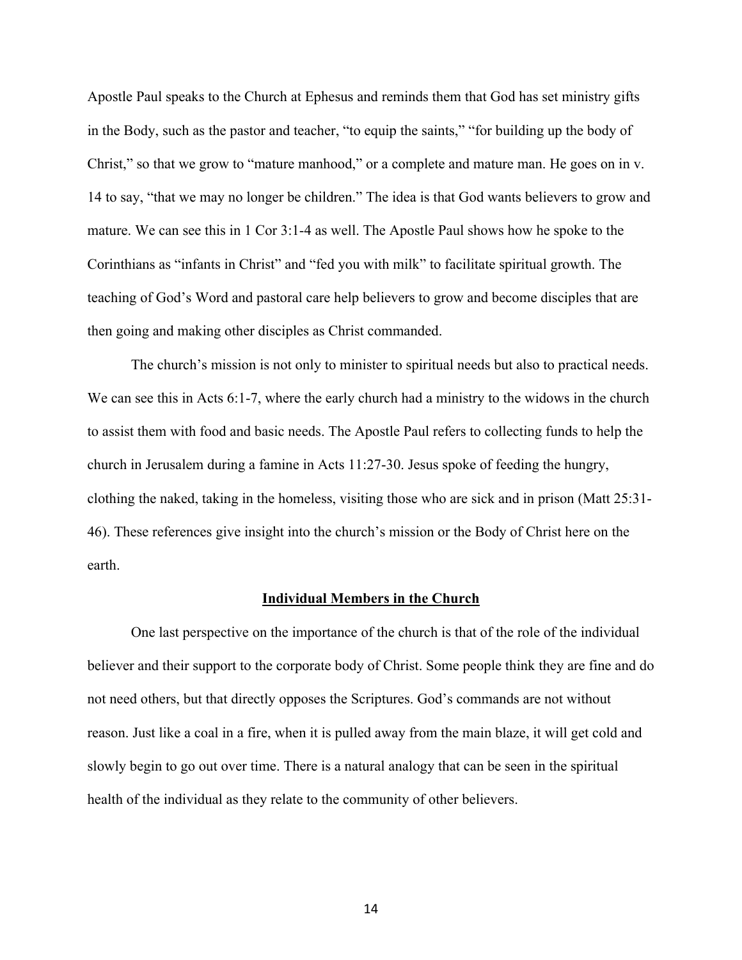Apostle Paul speaks to the Church at Ephesus and reminds them that God has set ministry gifts in the Body, such as the pastor and teacher, "to equip the saints," "for building up the body of Christ," so that we grow to "mature manhood," or a complete and mature man. He goes on in v. 14 to say, "that we may no longer be children." The idea is that God wants believers to grow and mature. We can see this in 1 Cor 3:1-4 as well. The Apostle Paul shows how he spoke to the Corinthians as "infants in Christ" and "fed you with milk" to facilitate spiritual growth. The teaching of God's Word and pastoral care help believers to grow and become disciples that are then going and making other disciples as Christ commanded.

The church's mission is not only to minister to spiritual needs but also to practical needs. We can see this in Acts 6:1-7, where the early church had a ministry to the widows in the church to assist them with food and basic needs. The Apostle Paul refers to collecting funds to help the church in Jerusalem during a famine in Acts 11:27-30. Jesus spoke of feeding the hungry, clothing the naked, taking in the homeless, visiting those who are sick and in prison (Matt 25:31- 46). These references give insight into the church's mission or the Body of Christ here on the earth.

## **Individual Members in the Church**

One last perspective on the importance of the church is that of the role of the individual believer and their support to the corporate body of Christ. Some people think they are fine and do not need others, but that directly opposes the Scriptures. God's commands are not without reason. Just like a coal in a fire, when it is pulled away from the main blaze, it will get cold and slowly begin to go out over time. There is a natural analogy that can be seen in the spiritual health of the individual as they relate to the community of other believers.

14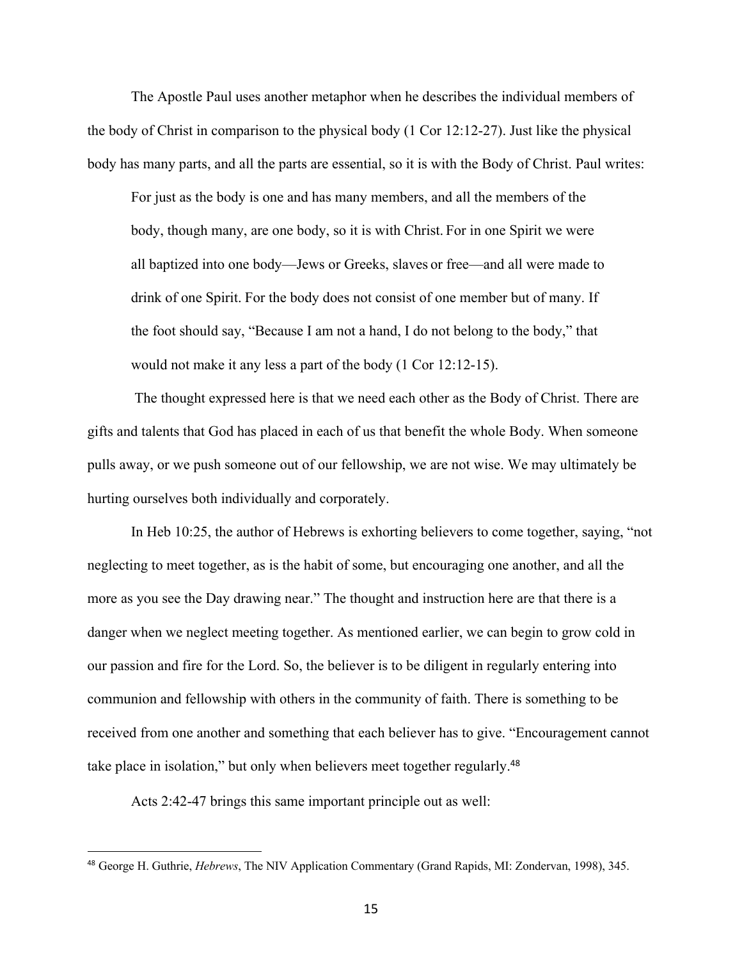The Apostle Paul uses another metaphor when he describes the individual members of the body of Christ in comparison to the physical body (1 Cor 12:12-27). Just like the physical body has many parts, and all the parts are essential, so it is with the Body of Christ. Paul writes:

For just as the body is one and has many members, and all the members of the body, though many, are one body, so it is with Christ. For in one Spirit we were all baptized into one body—Jews or Greeks, slaves or free—and all were made to drink of one Spirit. For the body does not consist of one member but of many. If the foot should say, "Because I am not a hand, I do not belong to the body," that would not make it any less a part of the body (1 Cor 12:12-15).

The thought expressed here is that we need each other as the Body of Christ. There are gifts and talents that God has placed in each of us that benefit the whole Body. When someone pulls away, or we push someone out of our fellowship, we are not wise. We may ultimately be hurting ourselves both individually and corporately.

In Heb 10:25, the author of Hebrews is exhorting believers to come together, saying, "not neglecting to meet together, as is the habit of some, but encouraging one another, and all the more as you see the Day drawing near." The thought and instruction here are that there is a danger when we neglect meeting together. As mentioned earlier, we can begin to grow cold in our passion and fire for the Lord. So, the believer is to be diligent in regularly entering into communion and fellowship with others in the community of faith. There is something to be received from one another and something that each believer has to give. "Encouragement cannot take place in isolation," but only when believers meet together regularly.<sup>48</sup>

Acts 2:42-47 brings this same important principle out as well:

<sup>48</sup> George H. Guthrie, *Hebrews*, The NIV Application Commentary (Grand Rapids, MI: Zondervan, 1998), 345.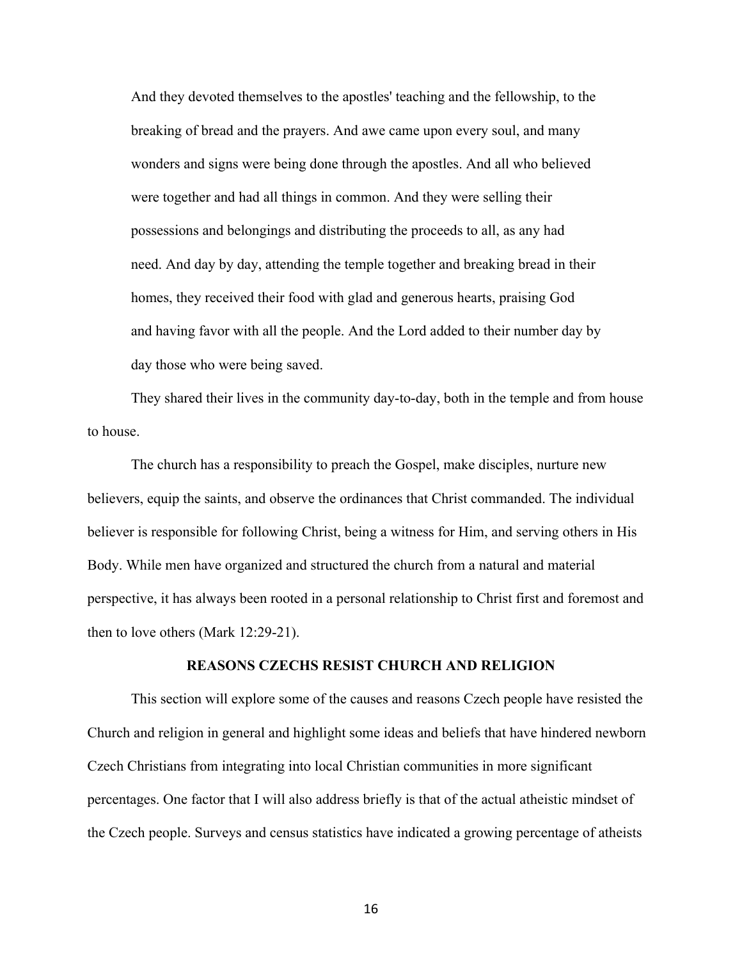And they devoted themselves to the apostles' teaching and the fellowship, to the breaking of bread and the prayers. And awe came upon every soul, and many wonders and signs were being done through the apostles. And all who believed were together and had all things in common. And they were selling their possessions and belongings and distributing the proceeds to all, as any had need. And day by day, attending the temple together and breaking bread in their homes, they received their food with glad and generous hearts, praising God and having favor with all the people. And the Lord added to their number day by day those who were being saved.

They shared their lives in the community day-to-day, both in the temple and from house to house.

The church has a responsibility to preach the Gospel, make disciples, nurture new believers, equip the saints, and observe the ordinances that Christ commanded. The individual believer is responsible for following Christ, being a witness for Him, and serving others in His Body. While men have organized and structured the church from a natural and material perspective, it has always been rooted in a personal relationship to Christ first and foremost and then to love others (Mark 12:29-21).

#### **REASONS CZECHS RESIST CHURCH AND RELIGION**

This section will explore some of the causes and reasons Czech people have resisted the Church and religion in general and highlight some ideas and beliefs that have hindered newborn Czech Christians from integrating into local Christian communities in more significant percentages. One factor that I will also address briefly is that of the actual atheistic mindset of the Czech people. Surveys and census statistics have indicated a growing percentage of atheists

16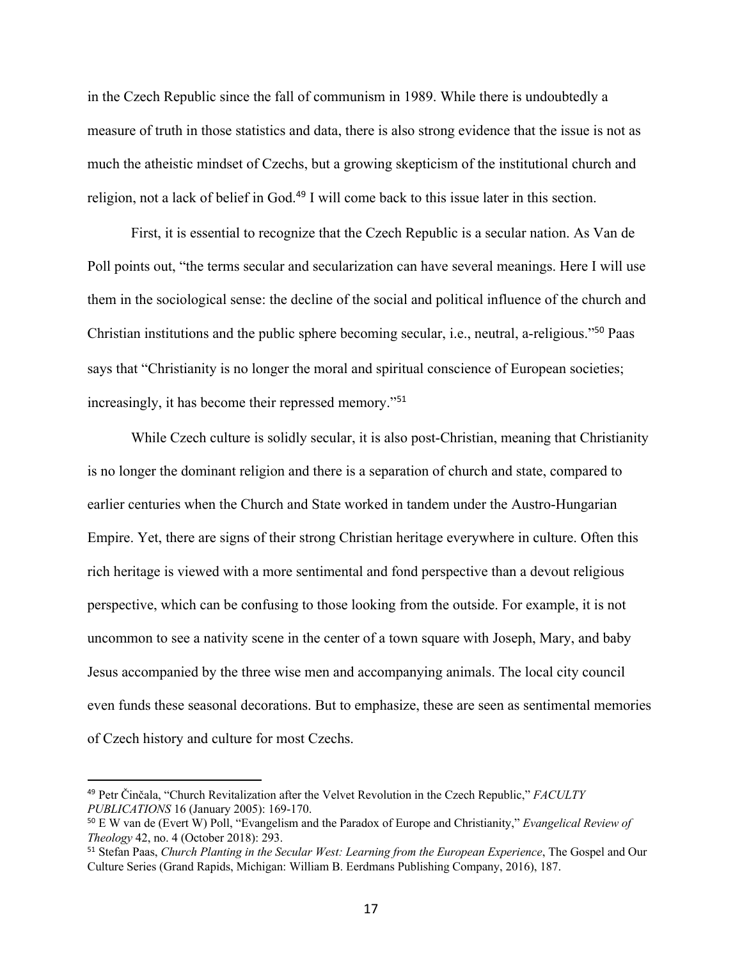in the Czech Republic since the fall of communism in 1989. While there is undoubtedly a measure of truth in those statistics and data, there is also strong evidence that the issue is not as much the atheistic mindset of Czechs, but a growing skepticism of the institutional church and religion, not a lack of belief in God.<sup>49</sup> I will come back to this issue later in this section.

First, it is essential to recognize that the Czech Republic is a secular nation. As Van de Poll points out, "the terms secular and secularization can have several meanings. Here I will use them in the sociological sense: the decline of the social and political influence of the church and Christian institutions and the public sphere becoming secular, i.e., neutral, a-religious."<sup>50</sup> Paas says that "Christianity is no longer the moral and spiritual conscience of European societies; increasingly, it has become their repressed memory."<sup>51</sup>

While Czech culture is solidly secular, it is also post-Christian, meaning that Christianity is no longer the dominant religion and there is a separation of church and state, compared to earlier centuries when the Church and State worked in tandem under the Austro-Hungarian Empire. Yet, there are signs of their strong Christian heritage everywhere in culture. Often this rich heritage is viewed with a more sentimental and fond perspective than a devout religious perspective, which can be confusing to those looking from the outside. For example, it is not uncommon to see a nativity scene in the center of a town square with Joseph, Mary, and baby Jesus accompanied by the three wise men and accompanying animals. The local city council even funds these seasonal decorations. But to emphasize, these are seen as sentimental memories of Czech history and culture for most Czechs.

<sup>49</sup> Petr Činčala, "Church Revitalization after the Velvet Revolution in the Czech Republic," *FACULTY PUBLICATIONS* 16 (January 2005): 169-170.

<sup>50</sup> E W van de (Evert W) Poll, "Evangelism and the Paradox of Europe and Christianity," *Evangelical Review of Theology* 42, no. 4 (October 2018): 293.

<sup>51</sup> Stefan Paas, *Church Planting in the Secular West: Learning from the European Experience*, The Gospel and Our Culture Series (Grand Rapids, Michigan: William B. Eerdmans Publishing Company, 2016), 187.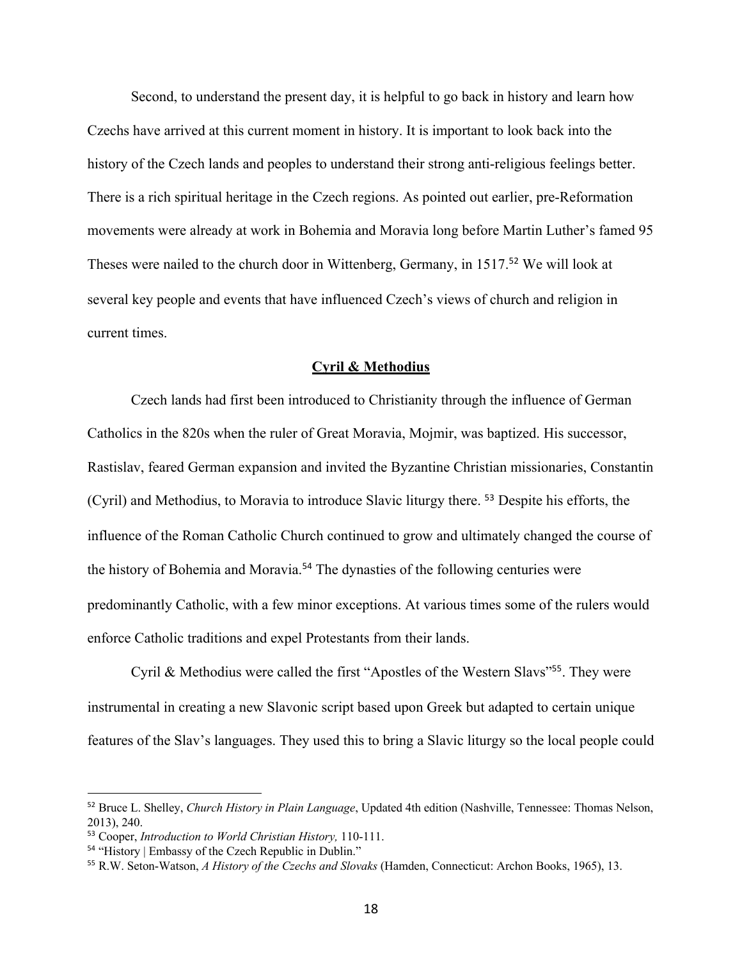Second, to understand the present day, it is helpful to go back in history and learn how Czechs have arrived at this current moment in history. It is important to look back into the history of the Czech lands and peoples to understand their strong anti-religious feelings better. There is a rich spiritual heritage in the Czech regions. As pointed out earlier, pre-Reformation movements were already at work in Bohemia and Moravia long before Martin Luther's famed 95 Theses were nailed to the church door in Wittenberg, Germany, in 1517.<sup>52</sup> We will look at several key people and events that have influenced Czech's views of church and religion in current times.

## **Cyril & Methodius**

Czech lands had first been introduced to Christianity through the influence of German Catholics in the 820s when the ruler of Great Moravia, Mojmir, was baptized. His successor, Rastislav, feared German expansion and invited the Byzantine Christian missionaries, Constantin (Cyril) and Methodius, to Moravia to introduce Slavic liturgy there. <sup>53</sup> Despite his efforts, the influence of the Roman Catholic Church continued to grow and ultimately changed the course of the history of Bohemia and Moravia.<sup>54</sup> The dynasties of the following centuries were predominantly Catholic, with a few minor exceptions. At various times some of the rulers would enforce Catholic traditions and expel Protestants from their lands.

Cyril & Methodius were called the first "Apostles of the Western Slavs"<sup>55</sup>. They were instrumental in creating a new Slavonic script based upon Greek but adapted to certain unique features of the Slav's languages. They used this to bring a Slavic liturgy so the local people could

<sup>52</sup> Bruce L. Shelley, *Church History in Plain Language*, Updated 4th edition (Nashville, Tennessee: Thomas Nelson, 2013), 240.

<sup>53</sup> Cooper, *Introduction to World Christian History,* 110-111.

<sup>54</sup> "History | Embassy of the Czech Republic in Dublin."

<sup>55</sup> R.W. Seton-Watson, *A History of the Czechs and Slovaks* (Hamden, Connecticut: Archon Books, 1965), 13.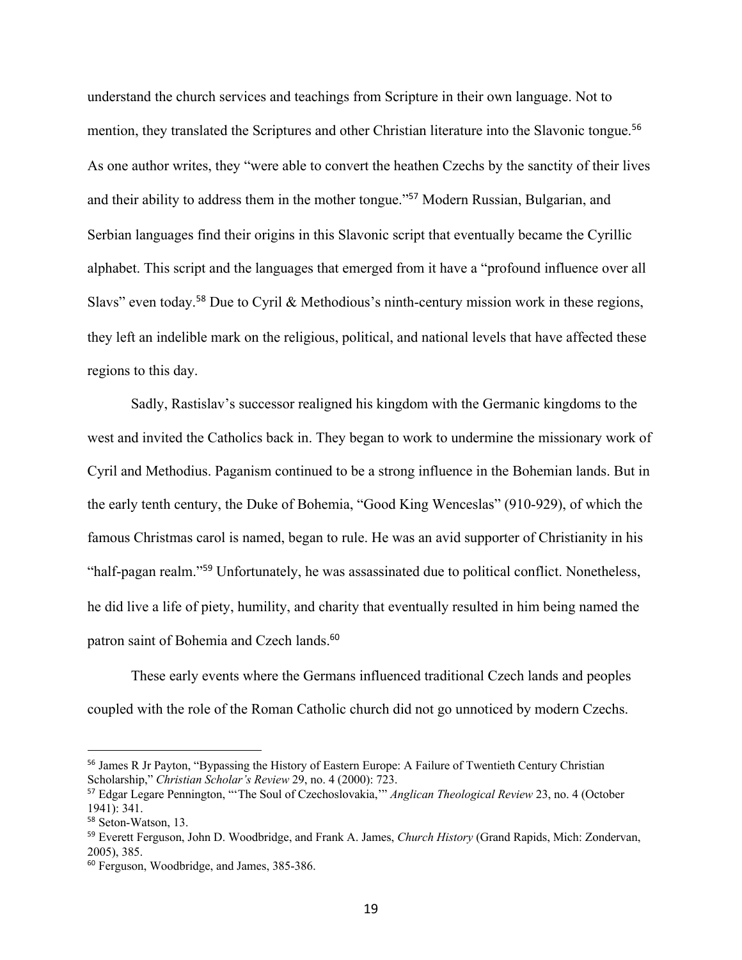understand the church services and teachings from Scripture in their own language. Not to mention, they translated the Scriptures and other Christian literature into the Slavonic tongue.<sup>56</sup> As one author writes, they "were able to convert the heathen Czechs by the sanctity of their lives and their ability to address them in the mother tongue."<sup>57</sup> Modern Russian, Bulgarian, and Serbian languages find their origins in this Slavonic script that eventually became the Cyrillic alphabet. This script and the languages that emerged from it have a "profound influence over all Slavs" even today.<sup>58</sup> Due to Cyril & Methodious's ninth-century mission work in these regions, they left an indelible mark on the religious, political, and national levels that have affected these regions to this day.

Sadly, Rastislav's successor realigned his kingdom with the Germanic kingdoms to the west and invited the Catholics back in. They began to work to undermine the missionary work of Cyril and Methodius. Paganism continued to be a strong influence in the Bohemian lands. But in the early tenth century, the Duke of Bohemia, "Good King Wenceslas" (910-929), of which the famous Christmas carol is named, began to rule. He was an avid supporter of Christianity in his "half-pagan realm."<sup>59</sup> Unfortunately, he was assassinated due to political conflict. Nonetheless, he did live a life of piety, humility, and charity that eventually resulted in him being named the patron saint of Bohemia and Czech lands.<sup>60</sup>

These early events where the Germans influenced traditional Czech lands and peoples coupled with the role of the Roman Catholic church did not go unnoticed by modern Czechs.

<sup>56</sup> James R Jr Payton, "Bypassing the History of Eastern Europe: A Failure of Twentieth Century Christian Scholarship," *Christian Scholar's Review* 29, no. 4 (2000): 723.

<sup>57</sup> Edgar Legare Pennington, "'The Soul of Czechoslovakia,'" *Anglican Theological Review* 23, no. 4 (October 1941): 341.

<sup>58</sup> Seton-Watson, 13.

<sup>59</sup> Everett Ferguson, John D. Woodbridge, and Frank A. James, *Church History* (Grand Rapids, Mich: Zondervan, 2005), 385.

<sup>60</sup> Ferguson, Woodbridge, and James, 385-386.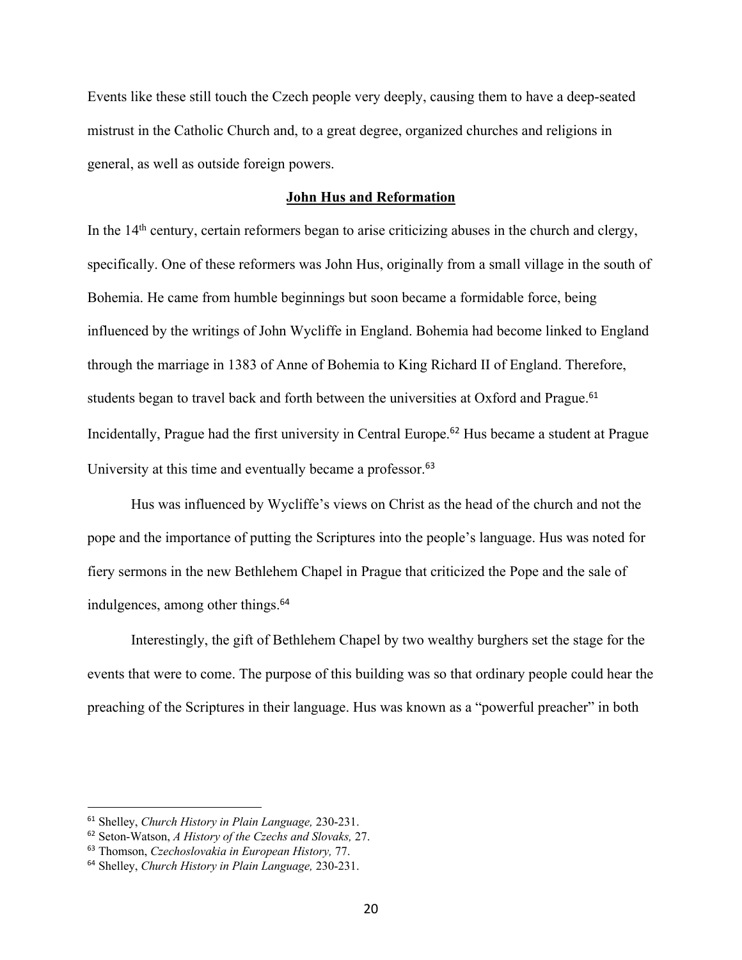Events like these still touch the Czech people very deeply, causing them to have a deep-seated mistrust in the Catholic Church and, to a great degree, organized churches and religions in general, as well as outside foreign powers.

## **John Hus and Reformation**

In the 14<sup>th</sup> century, certain reformers began to arise criticizing abuses in the church and clergy, specifically. One of these reformers was John Hus, originally from a small village in the south of Bohemia. He came from humble beginnings but soon became a formidable force, being influenced by the writings of John Wycliffe in England. Bohemia had become linked to England through the marriage in 1383 of Anne of Bohemia to King Richard II of England. Therefore, students began to travel back and forth between the universities at Oxford and Prague.<sup>61</sup> Incidentally, Prague had the first university in Central Europe.<sup>62</sup> Hus became a student at Prague University at this time and eventually became a professor.<sup>63</sup>

Hus was influenced by Wycliffe's views on Christ as the head of the church and not the pope and the importance of putting the Scriptures into the people's language. Hus was noted for fiery sermons in the new Bethlehem Chapel in Prague that criticized the Pope and the sale of indulgences, among other things.<sup>64</sup>

Interestingly, the gift of Bethlehem Chapel by two wealthy burghers set the stage for the events that were to come. The purpose of this building was so that ordinary people could hear the preaching of the Scriptures in their language. Hus was known as a "powerful preacher" in both

<sup>61</sup> Shelley, *Church History in Plain Language,* 230-231.

<sup>62</sup> Seton-Watson, *A History of the Czechs and Slovaks,* 27.

<sup>63</sup> Thomson, *Czechoslovakia in European History,* 77.

<sup>64</sup> Shelley, *Church History in Plain Language,* 230-231.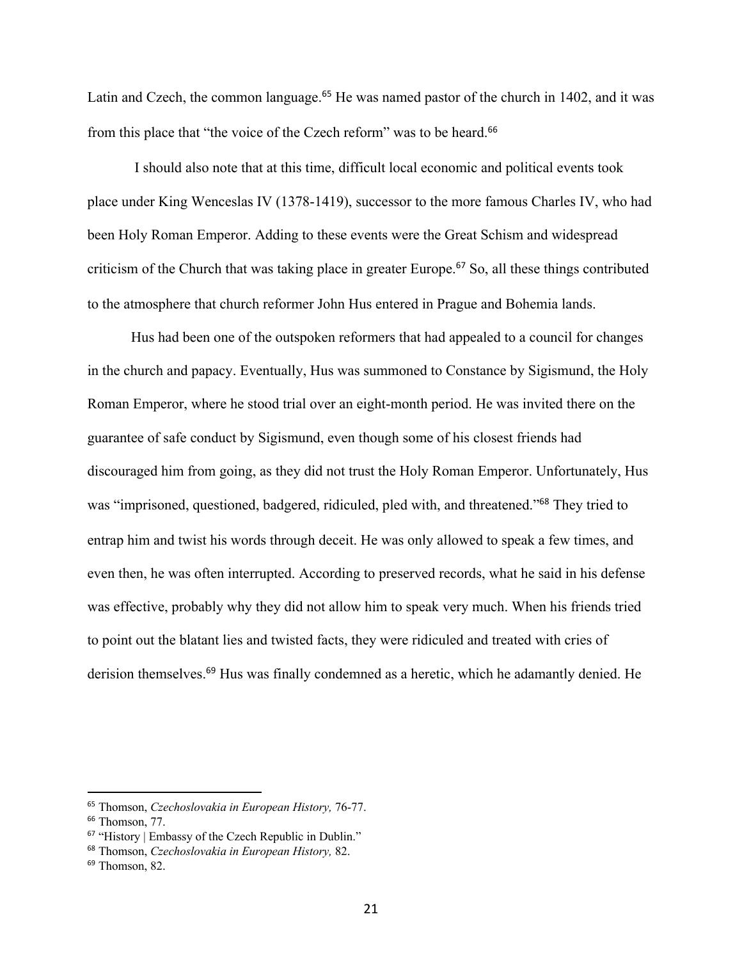Latin and Czech, the common language.<sup>65</sup> He was named pastor of the church in 1402, and it was from this place that "the voice of the Czech reform" was to be heard.<sup>66</sup>

I should also note that at this time, difficult local economic and political events took place under King Wenceslas IV (1378-1419), successor to the more famous Charles IV, who had been Holy Roman Emperor. Adding to these events were the Great Schism and widespread criticism of the Church that was taking place in greater Europe.<sup>67</sup> So, all these things contributed to the atmosphere that church reformer John Hus entered in Prague and Bohemia lands.

Hus had been one of the outspoken reformers that had appealed to a council for changes in the church and papacy. Eventually, Hus was summoned to Constance by Sigismund, the Holy Roman Emperor, where he stood trial over an eight-month period. He was invited there on the guarantee of safe conduct by Sigismund, even though some of his closest friends had discouraged him from going, as they did not trust the Holy Roman Emperor. Unfortunately, Hus was "imprisoned, questioned, badgered, ridiculed, pled with, and threatened."<sup>68</sup> They tried to entrap him and twist his words through deceit. He was only allowed to speak a few times, and even then, he was often interrupted. According to preserved records, what he said in his defense was effective, probably why they did not allow him to speak very much. When his friends tried to point out the blatant lies and twisted facts, they were ridiculed and treated with cries of derision themselves.<sup>69</sup> Hus was finally condemned as a heretic, which he adamantly denied. He

<sup>65</sup> Thomson, *Czechoslovakia in European History,* 76-77.

<sup>66</sup> Thomson, 77.

<sup>67</sup> "History | Embassy of the Czech Republic in Dublin."

<sup>68</sup> Thomson, *Czechoslovakia in European History,* 82.

<sup>69</sup> Thomson, 82.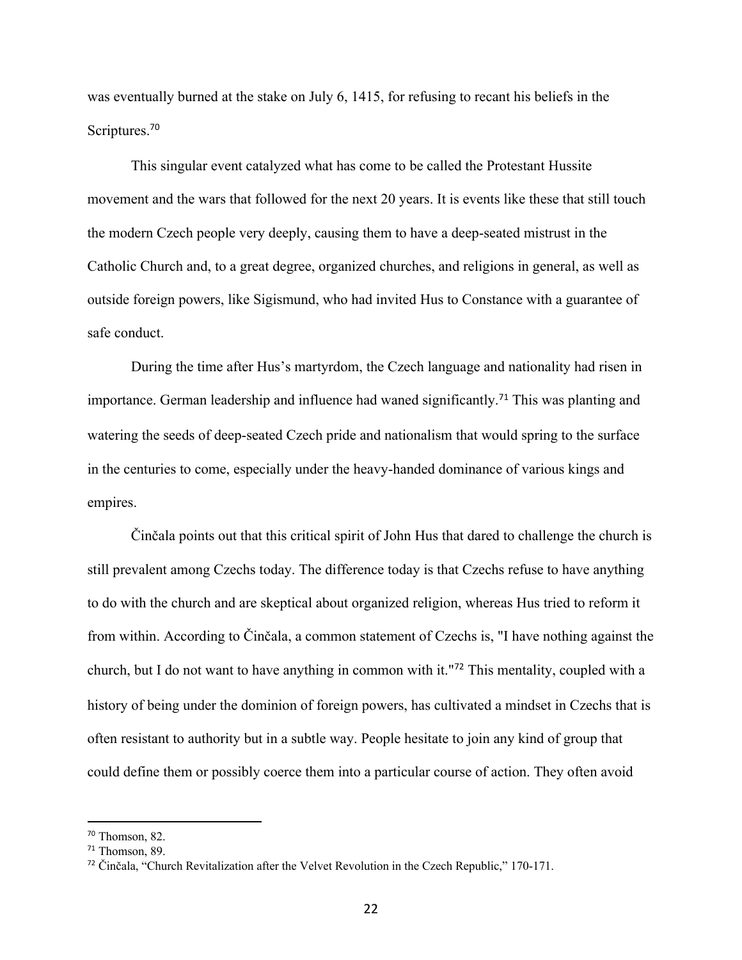was eventually burned at the stake on July 6, 1415, for refusing to recant his beliefs in the Scriptures.<sup>70</sup>

This singular event catalyzed what has come to be called the Protestant Hussite movement and the wars that followed for the next 20 years. It is events like these that still touch the modern Czech people very deeply, causing them to have a deep-seated mistrust in the Catholic Church and, to a great degree, organized churches, and religions in general, as well as outside foreign powers, like Sigismund, who had invited Hus to Constance with a guarantee of safe conduct.

During the time after Hus's martyrdom, the Czech language and nationality had risen in importance. German leadership and influence had waned significantly.<sup>71</sup> This was planting and watering the seeds of deep-seated Czech pride and nationalism that would spring to the surface in the centuries to come, especially under the heavy-handed dominance of various kings and empires.

Činčala points out that this critical spirit of John Hus that dared to challenge the church is still prevalent among Czechs today. The difference today is that Czechs refuse to have anything to do with the church and are skeptical about organized religion, whereas Hus tried to reform it from within. According to Činčala, a common statement of Czechs is, "I have nothing against the church, but I do not want to have anything in common with it."<sup>72</sup> This mentality, coupled with a history of being under the dominion of foreign powers, has cultivated a mindset in Czechs that is often resistant to authority but in a subtle way. People hesitate to join any kind of group that could define them or possibly coerce them into a particular course of action. They often avoid

<sup>70</sup> Thomson, 82.

 $71$  Thomson, 89.

 $72$  Činčala, "Church Revitalization after the Velvet Revolution in the Czech Republic," 170-171.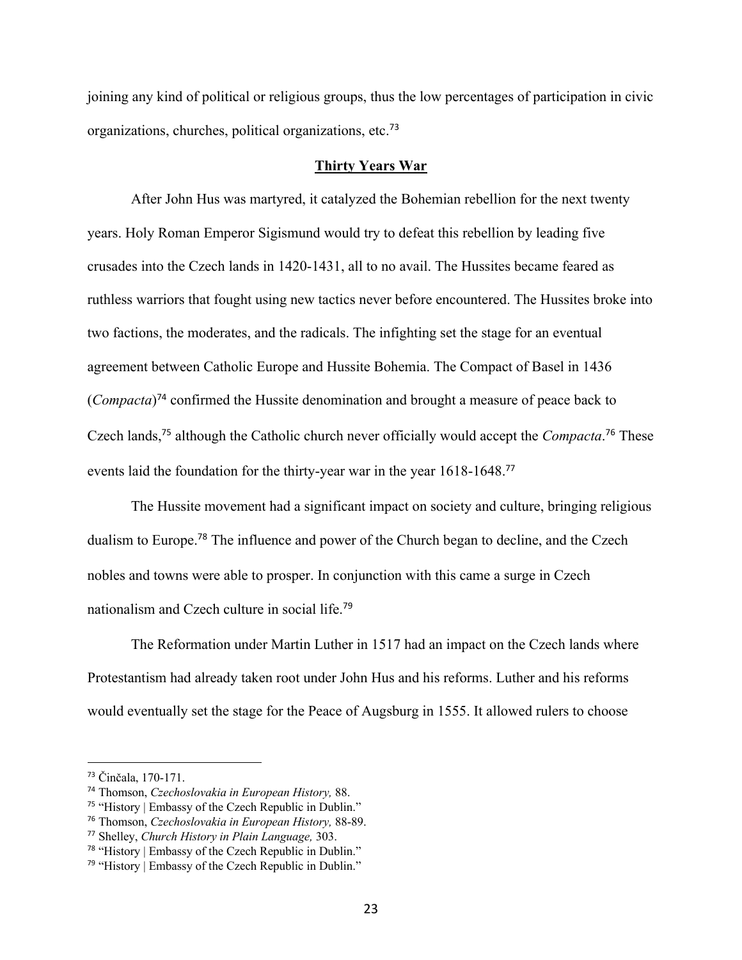joining any kind of political or religious groups, thus the low percentages of participation in civic organizations, churches, political organizations, etc.<sup>73</sup>

#### **Thirty Years War**

After John Hus was martyred, it catalyzed the Bohemian rebellion for the next twenty years. Holy Roman Emperor Sigismund would try to defeat this rebellion by leading five crusades into the Czech lands in 1420-1431, all to no avail. The Hussites became feared as ruthless warriors that fought using new tactics never before encountered. The Hussites broke into two factions, the moderates, and the radicals. The infighting set the stage for an eventual agreement between Catholic Europe and Hussite Bohemia. The Compact of Basel in 1436 (*Compacta*) <sup>74</sup> confirmed the Hussite denomination and brought a measure of peace back to Czech lands,<sup>75</sup> although the Catholic church never officially would accept the *Compacta*. <sup>76</sup> These events laid the foundation for the thirty-year war in the year 1618-1648.<sup>77</sup>

The Hussite movement had a significant impact on society and culture, bringing religious dualism to Europe.<sup>78</sup> The influence and power of the Church began to decline, and the Czech nobles and towns were able to prosper. In conjunction with this came a surge in Czech nationalism and Czech culture in social life.<sup>79</sup>

The Reformation under Martin Luther in 1517 had an impact on the Czech lands where Protestantism had already taken root under John Hus and his reforms. Luther and his reforms would eventually set the stage for the Peace of Augsburg in 1555. It allowed rulers to choose

<sup>73</sup> Činčala, 170-171.

<sup>74</sup> Thomson, *Czechoslovakia in European History,* 88.

<sup>75</sup> "History | Embassy of the Czech Republic in Dublin."

<sup>76</sup> Thomson, *Czechoslovakia in European History,* 88-89.

<sup>77</sup> Shelley, *Church History in Plain Language,* 303.

<sup>78</sup> "History | Embassy of the Czech Republic in Dublin."

<sup>79</sup> "History | Embassy of the Czech Republic in Dublin."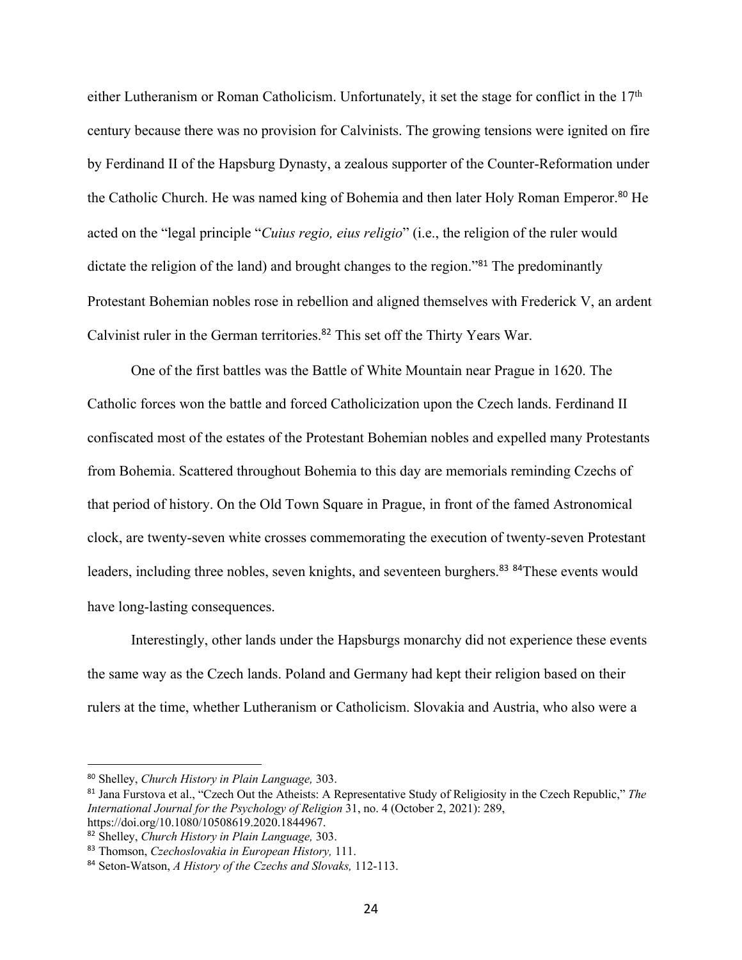either Lutheranism or Roman Catholicism. Unfortunately, it set the stage for conflict in the 17<sup>th</sup> century because there was no provision for Calvinists. The growing tensions were ignited on fire by Ferdinand II of the Hapsburg Dynasty, a zealous supporter of the Counter-Reformation under the Catholic Church. He was named king of Bohemia and then later Holy Roman Emperor.<sup>80</sup> He acted on the "legal principle "*Cuius regio, eius religio*" (i.e., the religion of the ruler would dictate the religion of the land) and brought changes to the region.<sup>881</sup> The predominantly Protestant Bohemian nobles rose in rebellion and aligned themselves with Frederick V, an ardent Calvinist ruler in the German territories.<sup>82</sup> This set off the Thirty Years War.

One of the first battles was the Battle of White Mountain near Prague in 1620. The Catholic forces won the battle and forced Catholicization upon the Czech lands. Ferdinand II confiscated most of the estates of the Protestant Bohemian nobles and expelled many Protestants from Bohemia. Scattered throughout Bohemia to this day are memorials reminding Czechs of that period of history. On the Old Town Square in Prague, in front of the famed Astronomical clock, are twenty-seven white crosses commemorating the execution of twenty-seven Protestant leaders, including three nobles, seven knights, and seventeen burghers.<sup>83 84</sup>These events would have long-lasting consequences.

Interestingly, other lands under the Hapsburgs monarchy did not experience these events the same way as the Czech lands. Poland and Germany had kept their religion based on their rulers at the time, whether Lutheranism or Catholicism. Slovakia and Austria, who also were a

<sup>80</sup> Shelley, *Church History in Plain Language,* 303.

<sup>81</sup> Jana Furstova et al., "Czech Out the Atheists: A Representative Study of Religiosity in the Czech Republic," *The International Journal for the Psychology of Religion* 31, no. 4 (October 2, 2021): 289, https://doi.org/10.1080/10508619.2020.1844967.

<sup>82</sup> Shelley, *Church History in Plain Language,* 303.

<sup>83</sup> Thomson, *Czechoslovakia in European History,* 111.

<sup>84</sup> Seton-Watson, *A History of the Czechs and Slovaks,* 112-113.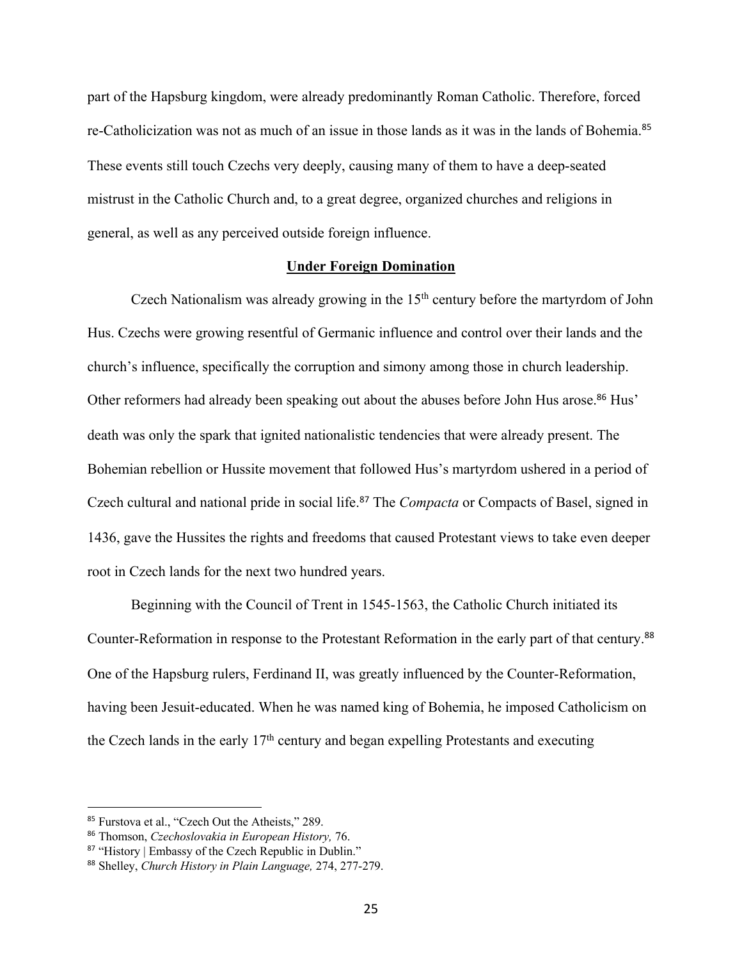part of the Hapsburg kingdom, were already predominantly Roman Catholic. Therefore, forced re-Catholicization was not as much of an issue in those lands as it was in the lands of Bohemia.<sup>85</sup> These events still touch Czechs very deeply, causing many of them to have a deep-seated mistrust in the Catholic Church and, to a great degree, organized churches and religions in general, as well as any perceived outside foreign influence.

## **Under Foreign Domination**

Czech Nationalism was already growing in the  $15<sup>th</sup>$  century before the martyrdom of John Hus. Czechs were growing resentful of Germanic influence and control over their lands and the church's influence, specifically the corruption and simony among those in church leadership. Other reformers had already been speaking out about the abuses before John Hus arose.<sup>86</sup> Hus' death was only the spark that ignited nationalistic tendencies that were already present. The Bohemian rebellion or Hussite movement that followed Hus's martyrdom ushered in a period of Czech cultural and national pride in social life.<sup>87</sup> The *Compacta* or Compacts of Basel, signed in 1436, gave the Hussites the rights and freedoms that caused Protestant views to take even deeper root in Czech lands for the next two hundred years.

Beginning with the Council of Trent in 1545-1563, the Catholic Church initiated its Counter-Reformation in response to the Protestant Reformation in the early part of that century.<sup>88</sup> One of the Hapsburg rulers, Ferdinand II, was greatly influenced by the Counter-Reformation, having been Jesuit-educated. When he was named king of Bohemia, he imposed Catholicism on the Czech lands in the early  $17<sup>th</sup>$  century and began expelling Protestants and executing

<sup>85</sup> Furstova et al., "Czech Out the Atheists," 289.

<sup>86</sup> Thomson, *Czechoslovakia in European History,* 76.

<sup>87</sup> "History | Embassy of the Czech Republic in Dublin."

<sup>88</sup> Shelley, *Church History in Plain Language,* 274, 277-279.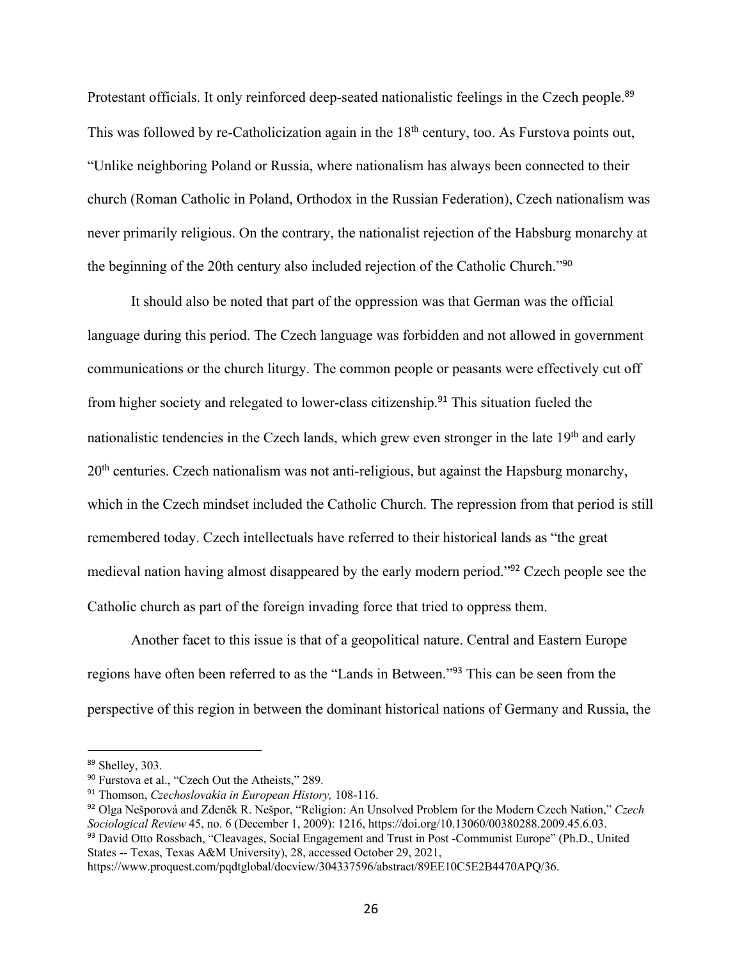Protestant officials. It only reinforced deep-seated nationalistic feelings in the Czech people.<sup>89</sup> This was followed by re-Catholicization again in the 18<sup>th</sup> century, too. As Furstova points out, "Unlike neighboring Poland or Russia, where nationalism has always been connected to their church (Roman Catholic in Poland, Orthodox in the Russian Federation), Czech nationalism was never primarily religious. On the contrary, the nationalist rejection of the Habsburg monarchy at the beginning of the 20th century also included rejection of the Catholic Church."<sup>90</sup>

It should also be noted that part of the oppression was that German was the official language during this period. The Czech language was forbidden and not allowed in government communications or the church liturgy. The common people or peasants were effectively cut off from higher society and relegated to lower-class citizenship.<sup>91</sup> This situation fueled the nationalistic tendencies in the Czech lands, which grew even stronger in the late 19<sup>th</sup> and early 20<sup>th</sup> centuries. Czech nationalism was not anti-religious, but against the Hapsburg monarchy, which in the Czech mindset included the Catholic Church. The repression from that period is still remembered today. Czech intellectuals have referred to their historical lands as "the great medieval nation having almost disappeared by the early modern period."<sup>92</sup> Czech people see the Catholic church as part of the foreign invading force that tried to oppress them.

Another facet to this issue is that of a geopolitical nature. Central and Eastern Europe regions have often been referred to as the "Lands in Between."<sup>93</sup> This can be seen from the perspective of this region in between the dominant historical nations of Germany and Russia, the

<sup>89</sup> Shelley, 303.

<sup>90</sup> Furstova et al., "Czech Out the Atheists," 289.

<sup>91</sup> Thomson, *Czechoslovakia in European History,* 108-116.

<sup>92</sup> Olga Nešporová and Zdeněk R. Nešpor, "Religion: An Unsolved Problem for the Modern Czech Nation," *Czech Sociological Review* 45, no. 6 (December 1, 2009): 1216, https://doi.org/10.13060/00380288.2009.45.6.03. 93 David Otto Rossbach, "Cleavages, Social Engagement and Trust in Post -Communist Europe" (Ph.D., United States -- Texas, Texas A&M University), 28, accessed October 29, 2021,

https://www.proquest.com/pqdtglobal/docview/304337596/abstract/89EE10C5E2B4470APQ/36.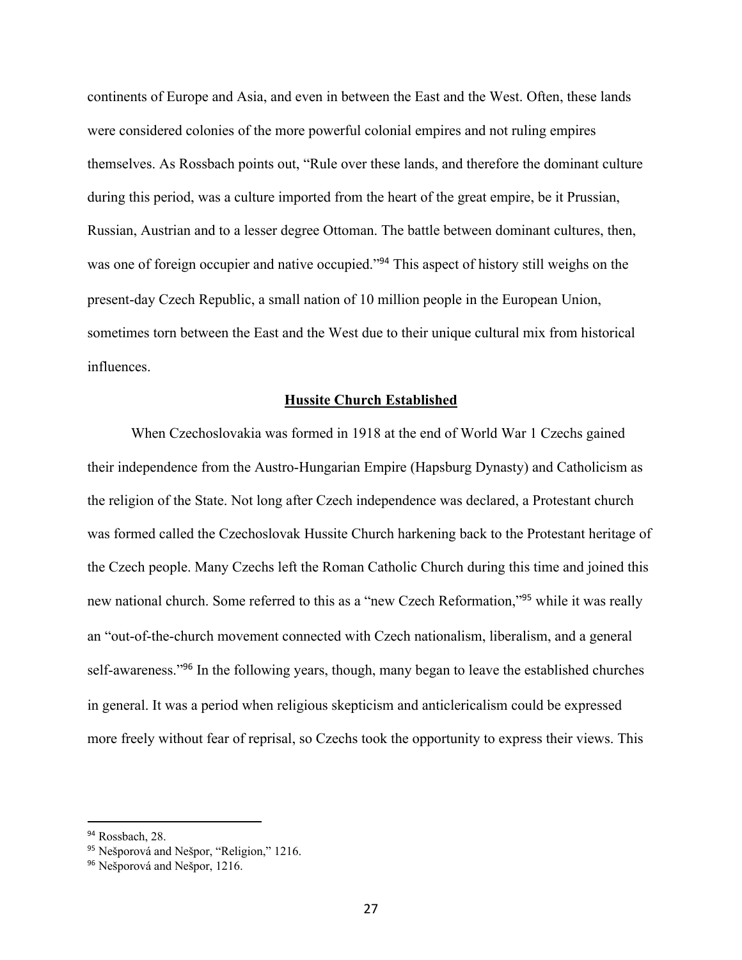continents of Europe and Asia, and even in between the East and the West. Often, these lands were considered colonies of the more powerful colonial empires and not ruling empires themselves. As Rossbach points out, "Rule over these lands, and therefore the dominant culture during this period, was a culture imported from the heart of the great empire, be it Prussian, Russian, Austrian and to a lesser degree Ottoman. The battle between dominant cultures, then, was one of foreign occupier and native occupied."<sup>94</sup> This aspect of history still weighs on the present-day Czech Republic, a small nation of 10 million people in the European Union, sometimes torn between the East and the West due to their unique cultural mix from historical influences.

## **Hussite Church Established**

When Czechoslovakia was formed in 1918 at the end of World War 1 Czechs gained their independence from the Austro-Hungarian Empire (Hapsburg Dynasty) and Catholicism as the religion of the State. Not long after Czech independence was declared, a Protestant church was formed called the Czechoslovak Hussite Church harkening back to the Protestant heritage of the Czech people. Many Czechs left the Roman Catholic Church during this time and joined this new national church. Some referred to this as a "new Czech Reformation,"<sup>95</sup> while it was really an "out-of-the-church movement connected with Czech nationalism, liberalism, and a general self-awareness."<sup>96</sup> In the following years, though, many began to leave the established churches in general. It was a period when religious skepticism and anticlericalism could be expressed more freely without fear of reprisal, so Czechs took the opportunity to express their views. This

<sup>94</sup> Rossbach, 28.

<sup>95</sup> Nešporová and Nešpor, "Religion," 1216.

<sup>&</sup>lt;sup>96</sup> Nešporová and Nešpor, 1216.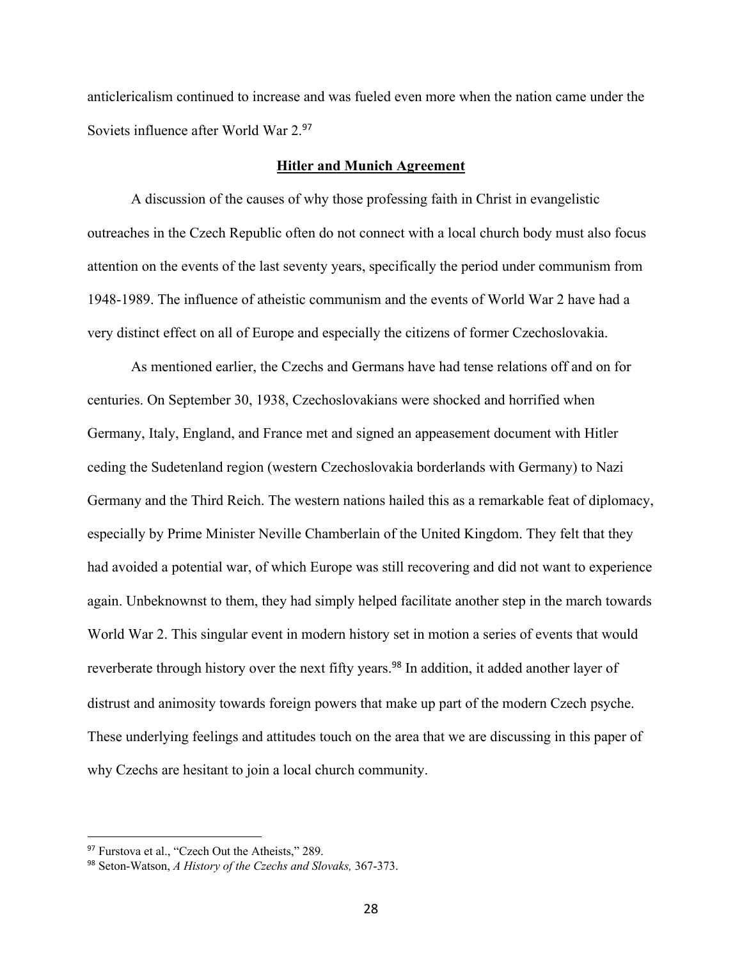anticlericalism continued to increase and was fueled even more when the nation came under the Soviets influence after World War 2.<sup>97</sup>

## **Hitler and Munich Agreement**

A discussion of the causes of why those professing faith in Christ in evangelistic outreaches in the Czech Republic often do not connect with a local church body must also focus attention on the events of the last seventy years, specifically the period under communism from 1948-1989. The influence of atheistic communism and the events of World War 2 have had a very distinct effect on all of Europe and especially the citizens of former Czechoslovakia.

As mentioned earlier, the Czechs and Germans have had tense relations off and on for centuries. On September 30, 1938, Czechoslovakians were shocked and horrified when Germany, Italy, England, and France met and signed an appeasement document with Hitler ceding the Sudetenland region (western Czechoslovakia borderlands with Germany) to Nazi Germany and the Third Reich. The western nations hailed this as a remarkable feat of diplomacy, especially by Prime Minister Neville Chamberlain of the United Kingdom. They felt that they had avoided a potential war, of which Europe was still recovering and did not want to experience again. Unbeknownst to them, they had simply helped facilitate another step in the march towards World War 2. This singular event in modern history set in motion a series of events that would reverberate through history over the next fifty years.<sup>98</sup> In addition, it added another layer of distrust and animosity towards foreign powers that make up part of the modern Czech psyche. These underlying feelings and attitudes touch on the area that we are discussing in this paper of why Czechs are hesitant to join a local church community.

<sup>97</sup> Furstova et al., "Czech Out the Atheists," 289.

<sup>98</sup> Seton-Watson, *A History of the Czechs and Slovaks,* 367-373.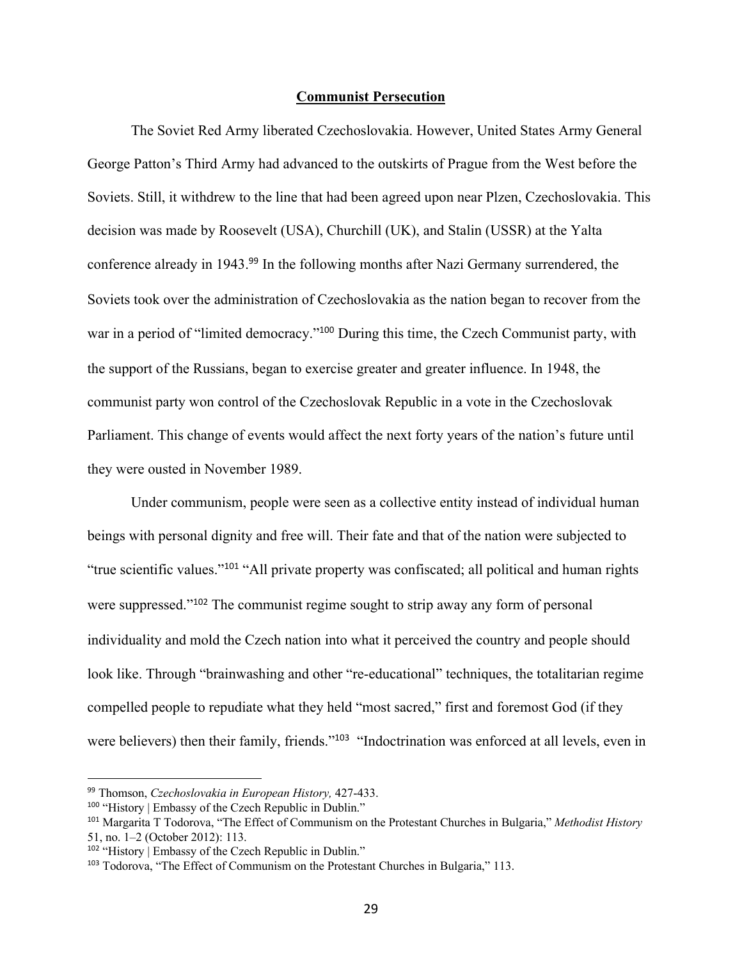## **Communist Persecution**

The Soviet Red Army liberated Czechoslovakia. However, United States Army General George Patton's Third Army had advanced to the outskirts of Prague from the West before the Soviets. Still, it withdrew to the line that had been agreed upon near Plzen, Czechoslovakia. This decision was made by Roosevelt (USA), Churchill (UK), and Stalin (USSR) at the Yalta conference already in 1943.<sup>99</sup> In the following months after Nazi Germany surrendered, the Soviets took over the administration of Czechoslovakia as the nation began to recover from the war in a period of "limited democracy."<sup>100</sup> During this time, the Czech Communist party, with the support of the Russians, began to exercise greater and greater influence. In 1948, the communist party won control of the Czechoslovak Republic in a vote in the Czechoslovak Parliament. This change of events would affect the next forty years of the nation's future until they were ousted in November 1989.

Under communism, people were seen as a collective entity instead of individual human beings with personal dignity and free will. Their fate and that of the nation were subjected to "true scientific values."<sup>101</sup> "All private property was confiscated; all political and human rights were suppressed."<sup>102</sup> The communist regime sought to strip away any form of personal individuality and mold the Czech nation into what it perceived the country and people should look like. Through "brainwashing and other "re-educational" techniques, the totalitarian regime compelled people to repudiate what they held "most sacred," first and foremost God (if they were believers) then their family, friends."<sup>103</sup> "Indoctrination was enforced at all levels, even in

<sup>99</sup> Thomson, *Czechoslovakia in European History,* 427-433.

<sup>&</sup>lt;sup>100</sup> "History | Embassy of the Czech Republic in Dublin."

<sup>101</sup> Margarita T Todorova, "The Effect of Communism on the Protestant Churches in Bulgaria," *Methodist History* 51, no. 1–2 (October 2012): 113.

<sup>&</sup>lt;sup>102</sup> "History | Embassy of the Czech Republic in Dublin."

<sup>103</sup> Todorova, "The Effect of Communism on the Protestant Churches in Bulgaria," 113.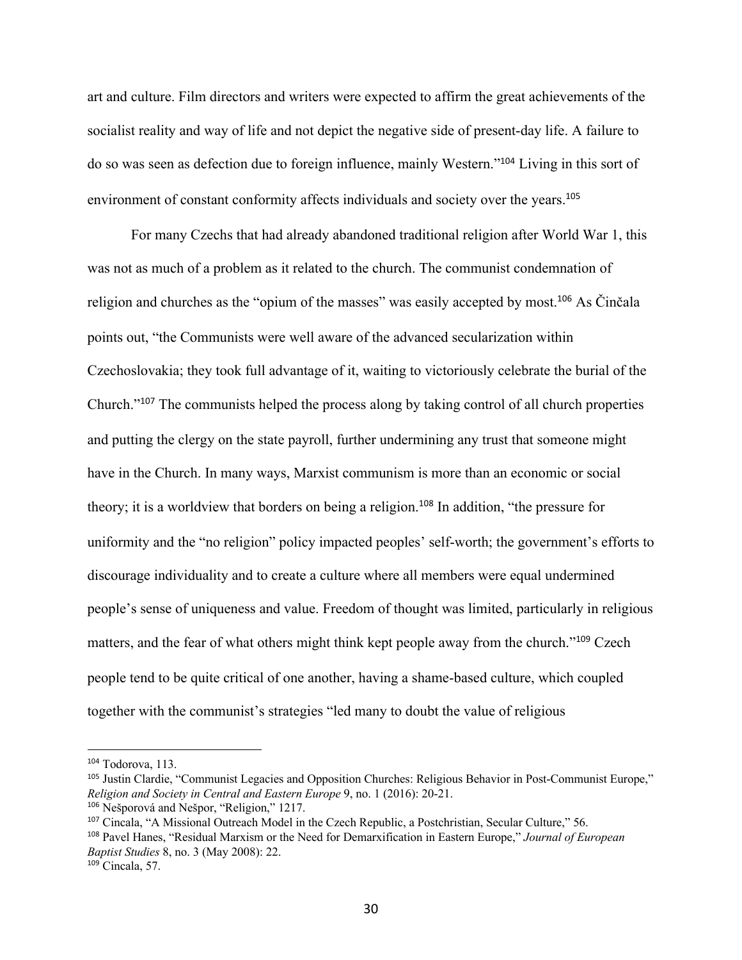art and culture. Film directors and writers were expected to affirm the great achievements of the socialist reality and way of life and not depict the negative side of present-day life. A failure to do so was seen as defection due to foreign influence, mainly Western."<sup>104</sup> Living in this sort of environment of constant conformity affects individuals and society over the years.<sup>105</sup>

For many Czechs that had already abandoned traditional religion after World War 1, this was not as much of a problem as it related to the church. The communist condemnation of religion and churches as the "opium of the masses" was easily accepted by most.<sup>106</sup> As Činčala points out, "the Communists were well aware of the advanced secularization within Czechoslovakia; they took full advantage of it, waiting to victoriously celebrate the burial of the Church."<sup>107</sup> The communists helped the process along by taking control of all church properties and putting the clergy on the state payroll, further undermining any trust that someone might have in the Church. In many ways, Marxist communism is more than an economic or social theory; it is a worldview that borders on being a religion.<sup>108</sup> In addition, "the pressure for uniformity and the "no religion" policy impacted peoples' self-worth; the government's efforts to discourage individuality and to create a culture where all members were equal undermined people's sense of uniqueness and value. Freedom of thought was limited, particularly in religious matters, and the fear of what others might think kept people away from the church."<sup>109</sup> Czech people tend to be quite critical of one another, having a shame-based culture, which coupled together with the communist's strategies "led many to doubt the value of religious

<sup>104</sup> Todorova, 113.

<sup>105</sup> Justin Clardie, "Communist Legacies and Opposition Churches: Religious Behavior in Post-Communist Europe," *Religion and Society in Central and Eastern Europe* 9, no. 1 (2016): 20-21.

<sup>106</sup> Nešporová and Nešpor, "Religion," 1217.

<sup>107</sup> Cincala, "A Missional Outreach Model in the Czech Republic, a Postchristian, Secular Culture," 56.

<sup>108</sup> Pavel Hanes, "Residual Marxism or the Need for Demarxification in Eastern Europe," *Journal of European Baptist Studies* 8, no. 3 (May 2008): 22.

 $109$  Cincala, 57.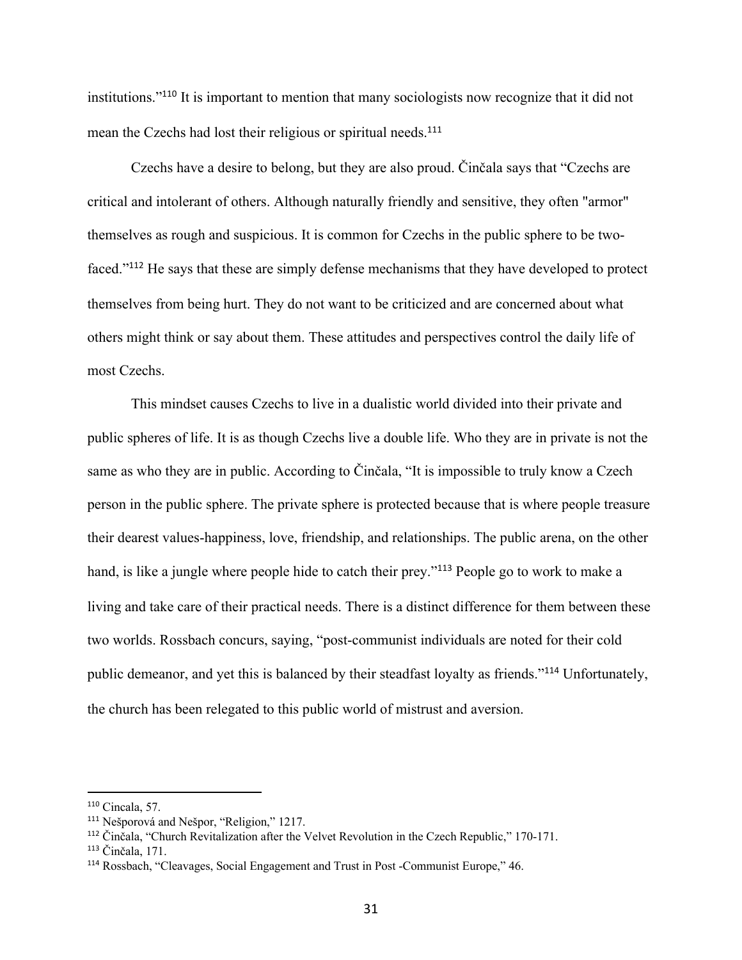institutions."<sup>110</sup> It is important to mention that many sociologists now recognize that it did not mean the Czechs had lost their religious or spiritual needs.<sup>111</sup>

Czechs have a desire to belong, but they are also proud. Činčala says that "Czechs are critical and intolerant of others. Although naturally friendly and sensitive, they often "armor" themselves as rough and suspicious. It is common for Czechs in the public sphere to be twofaced."<sup>112</sup> He says that these are simply defense mechanisms that they have developed to protect themselves from being hurt. They do not want to be criticized and are concerned about what others might think or say about them. These attitudes and perspectives control the daily life of most Czechs.

This mindset causes Czechs to live in a dualistic world divided into their private and public spheres of life. It is as though Czechs live a double life. Who they are in private is not the same as who they are in public. According to Činčala, "It is impossible to truly know a Czech person in the public sphere. The private sphere is protected because that is where people treasure their dearest values-happiness, love, friendship, and relationships. The public arena, on the other hand, is like a jungle where people hide to catch their prey."<sup>113</sup> People go to work to make a living and take care of their practical needs. There is a distinct difference for them between these two worlds. Rossbach concurs, saying, "post-communist individuals are noted for their cold public demeanor, and yet this is balanced by their steadfast loyalty as friends."<sup>114</sup> Unfortunately, the church has been relegated to this public world of mistrust and aversion.

<sup>&</sup>lt;sup>110</sup> Cincala, 57.

<sup>&</sup>lt;sup>111</sup> Nešporová and Nešpor, "Religion," 1217.

<sup>112</sup> Činčala, "Church Revitalization after the Velvet Revolution in the Czech Republic," 170-171.

<sup>113</sup> Činčala, 171.

<sup>114</sup> Rossbach, "Cleavages, Social Engagement and Trust in Post -Communist Europe," 46.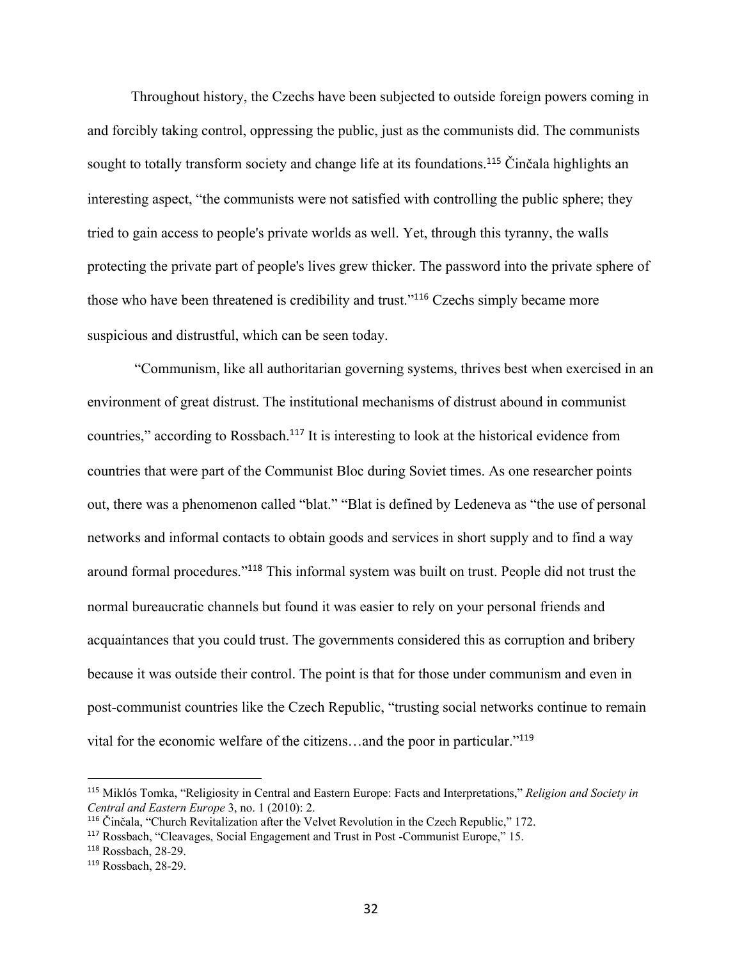Throughout history, the Czechs have been subjected to outside foreign powers coming in and forcibly taking control, oppressing the public, just as the communists did. The communists sought to totally transform society and change life at its foundations.<sup>115</sup> Činčala highlights an interesting aspect, "the communists were not satisfied with controlling the public sphere; they tried to gain access to people's private worlds as well. Yet, through this tyranny, the walls protecting the private part of people's lives grew thicker. The password into the private sphere of those who have been threatened is credibility and trust."<sup>116</sup> Czechs simply became more suspicious and distrustful, which can be seen today.

"Communism, like all authoritarian governing systems, thrives best when exercised in an environment of great distrust. The institutional mechanisms of distrust abound in communist countries," according to Rossbach.<sup>117</sup> It is interesting to look at the historical evidence from countries that were part of the Communist Bloc during Soviet times. As one researcher points out, there was a phenomenon called "blat." "Blat is defined by Ledeneva as "the use of personal networks and informal contacts to obtain goods and services in short supply and to find a way around formal procedures."<sup>118</sup> This informal system was built on trust. People did not trust the normal bureaucratic channels but found it was easier to rely on your personal friends and acquaintances that you could trust. The governments considered this as corruption and bribery because it was outside their control. The point is that for those under communism and even in post-communist countries like the Czech Republic, "trusting social networks continue to remain vital for the economic welfare of the citizens…and the poor in particular."<sup>119</sup>

<sup>115</sup> Miklós Tomka, "Religiosity in Central and Eastern Europe: Facts and Interpretations," *Religion and Society in Central and Eastern Europe* 3, no. 1 (2010): 2.

<sup>116</sup> Činčala, "Church Revitalization after the Velvet Revolution in the Czech Republic," 172.

<sup>117</sup> Rossbach, "Cleavages, Social Engagement and Trust in Post -Communist Europe," 15.

<sup>118</sup> Rossbach, 28-29.

<sup>119</sup> Rossbach, 28-29.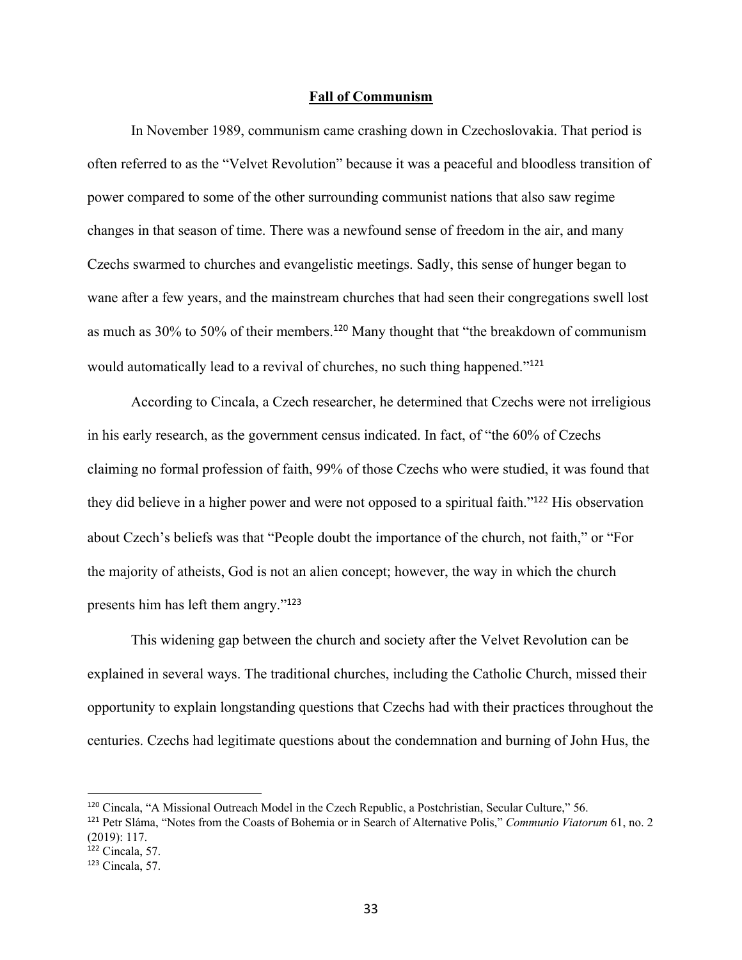#### **Fall of Communism**

In November 1989, communism came crashing down in Czechoslovakia. That period is often referred to as the "Velvet Revolution" because it was a peaceful and bloodless transition of power compared to some of the other surrounding communist nations that also saw regime changes in that season of time. There was a newfound sense of freedom in the air, and many Czechs swarmed to churches and evangelistic meetings. Sadly, this sense of hunger began to wane after a few years, and the mainstream churches that had seen their congregations swell lost as much as 30% to 50% of their members.<sup>120</sup> Many thought that "the breakdown of communism would automatically lead to a revival of churches, no such thing happened."<sup>121</sup>

According to Cincala, a Czech researcher, he determined that Czechs were not irreligious in his early research, as the government census indicated. In fact, of "the 60% of Czechs claiming no formal profession of faith, 99% of those Czechs who were studied, it was found that they did believe in a higher power and were not opposed to a spiritual faith."<sup>122</sup> His observation about Czech's beliefs was that "People doubt the importance of the church, not faith," or "For the majority of atheists, God is not an alien concept; however, the way in which the church presents him has left them angry."<sup>123</sup>

This widening gap between the church and society after the Velvet Revolution can be explained in several ways. The traditional churches, including the Catholic Church, missed their opportunity to explain longstanding questions that Czechs had with their practices throughout the centuries. Czechs had legitimate questions about the condemnation and burning of John Hus, the

<sup>120</sup> Cincala, "A Missional Outreach Model in the Czech Republic, a Postchristian, Secular Culture," 56.

<sup>121</sup> Petr Sláma, "Notes from the Coasts of Bohemia or in Search of Alternative Polis," *Communio Viatorum* 61, no. 2 (2019): 117.

 $122$  Cincala, 57.

<sup>123</sup> Cincala, 57.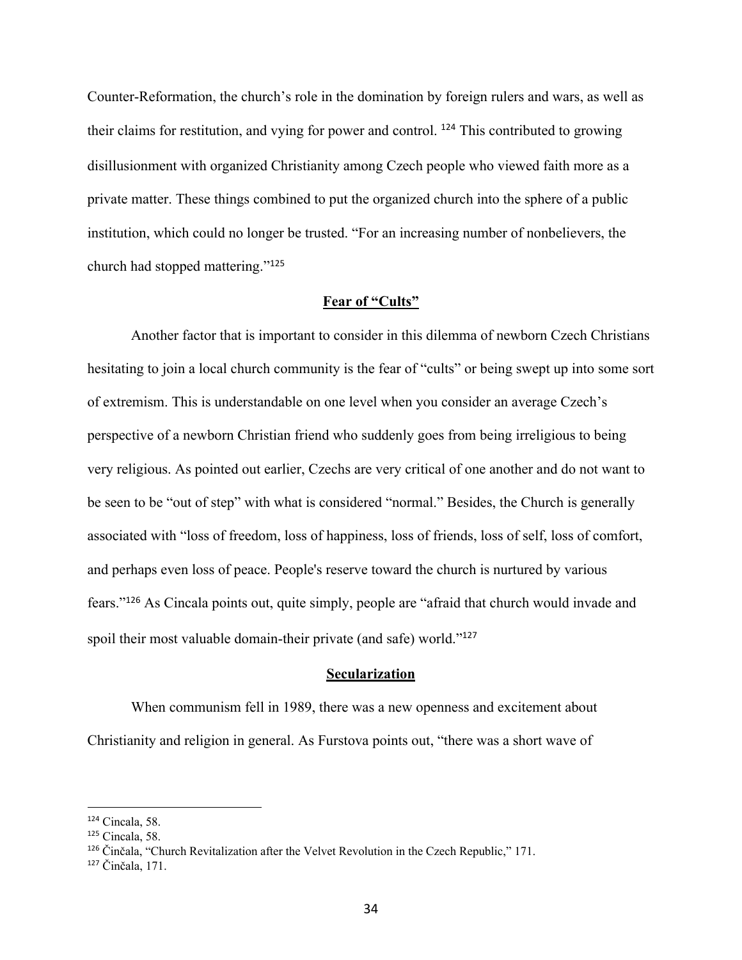Counter-Reformation, the church's role in the domination by foreign rulers and wars, as well as their claims for restitution, and vying for power and control. <sup>124</sup> This contributed to growing disillusionment with organized Christianity among Czech people who viewed faith more as a private matter. These things combined to put the organized church into the sphere of a public institution, which could no longer be trusted. "For an increasing number of nonbelievers, the church had stopped mattering."<sup>125</sup>

### **Fear of "Cults"**

Another factor that is important to consider in this dilemma of newborn Czech Christians hesitating to join a local church community is the fear of "cults" or being swept up into some sort of extremism. This is understandable on one level when you consider an average Czech's perspective of a newborn Christian friend who suddenly goes from being irreligious to being very religious. As pointed out earlier, Czechs are very critical of one another and do not want to be seen to be "out of step" with what is considered "normal." Besides, the Church is generally associated with "loss of freedom, loss of happiness, loss of friends, loss of self, loss of comfort, and perhaps even loss of peace. People's reserve toward the church is nurtured by various fears."<sup>126</sup> As Cincala points out, quite simply, people are "afraid that church would invade and spoil their most valuable domain-their private (and safe) world."<sup>127</sup>

## **Secularization**

When communism fell in 1989, there was a new openness and excitement about Christianity and religion in general. As Furstova points out, "there was a short wave of

 $124$  Cincala, 58.

<sup>125</sup> Cincala, 58.

<sup>&</sup>lt;sup>126</sup> Činčala, "Church Revitalization after the Velvet Revolution in the Czech Republic," 171.

<sup>127</sup> Činčala, 171.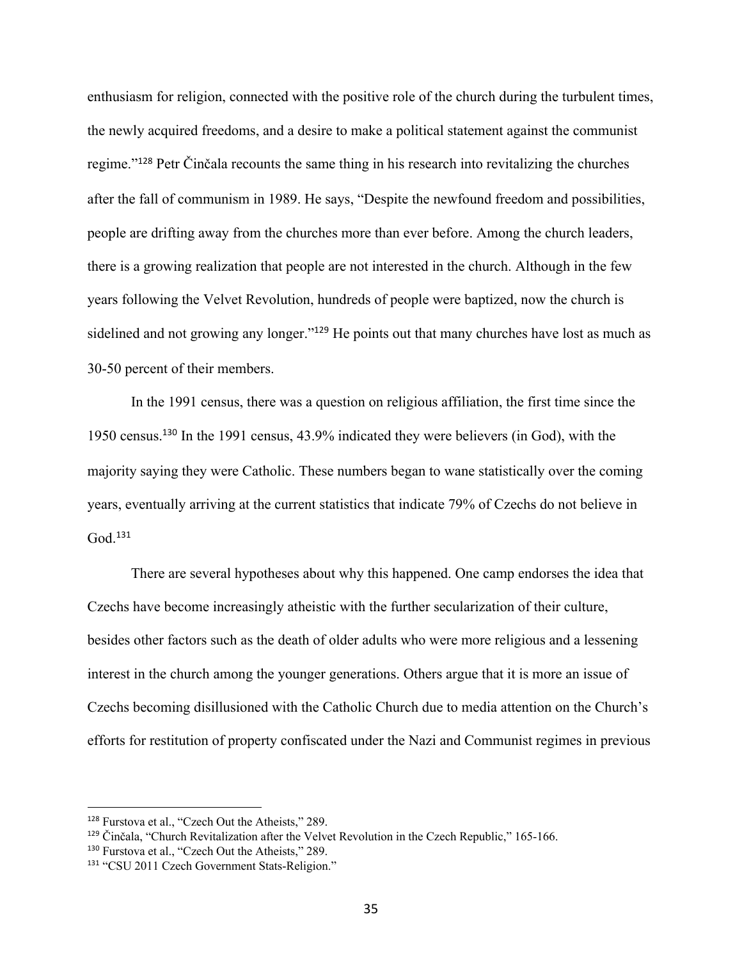enthusiasm for religion, connected with the positive role of the church during the turbulent times, the newly acquired freedoms, and a desire to make a political statement against the communist regime."<sup>128</sup> Petr Činčala recounts the same thing in his research into revitalizing the churches after the fall of communism in 1989. He says, "Despite the newfound freedom and possibilities, people are drifting away from the churches more than ever before. Among the church leaders, there is a growing realization that people are not interested in the church. Although in the few years following the Velvet Revolution, hundreds of people were baptized, now the church is sidelined and not growing any longer."<sup>129</sup> He points out that many churches have lost as much as 30-50 percent of their members.

In the 1991 census, there was a question on religious affiliation, the first time since the 1950 census.<sup>130</sup> In the 1991 census, 43.9% indicated they were believers (in God), with the majority saying they were Catholic. These numbers began to wane statistically over the coming years, eventually arriving at the current statistics that indicate 79% of Czechs do not believe in God.<sup>131</sup>

There are several hypotheses about why this happened. One camp endorses the idea that Czechs have become increasingly atheistic with the further secularization of their culture, besides other factors such as the death of older adults who were more religious and a lessening interest in the church among the younger generations. Others argue that it is more an issue of Czechs becoming disillusioned with the Catholic Church due to media attention on the Church's efforts for restitution of property confiscated under the Nazi and Communist regimes in previous

<sup>128</sup> Furstova et al., "Czech Out the Atheists," 289.

<sup>129</sup> Činčala, "Church Revitalization after the Velvet Revolution in the Czech Republic," 165-166.

<sup>&</sup>lt;sup>130</sup> Furstova et al., "Czech Out the Atheists," 289.

<sup>131</sup> "CSU 2011 Czech Government Stats-Religion."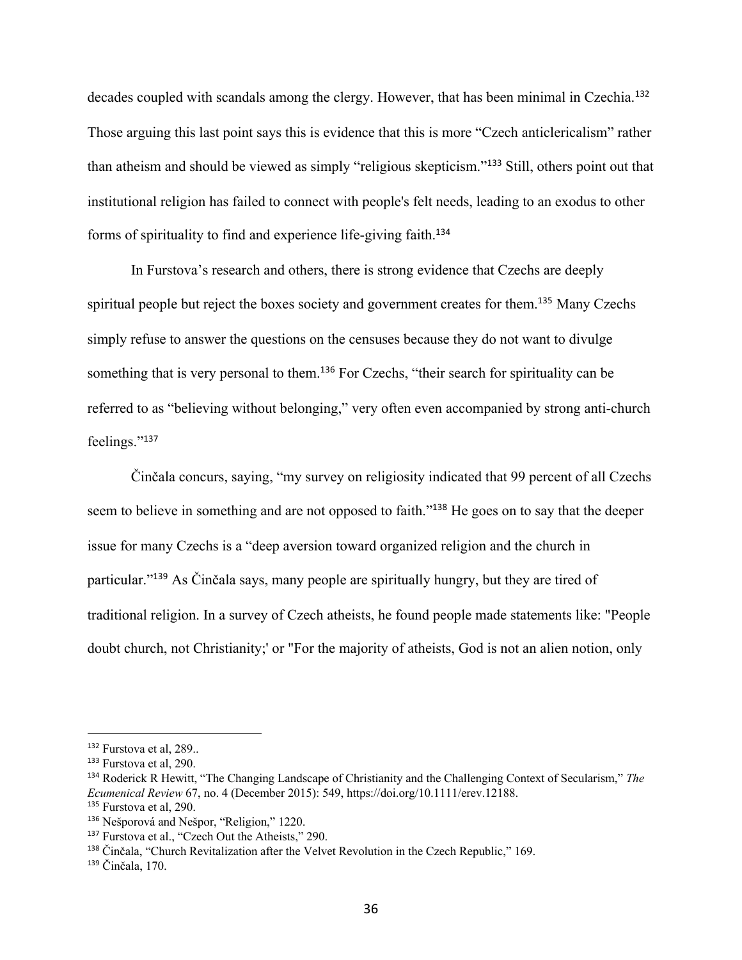decades coupled with scandals among the clergy. However, that has been minimal in Czechia.<sup>132</sup> Those arguing this last point says this is evidence that this is more "Czech anticlericalism" rather than atheism and should be viewed as simply "religious skepticism."<sup>133</sup> Still, others point out that institutional religion has failed to connect with people's felt needs, leading to an exodus to other forms of spirituality to find and experience life-giving faith.<sup>134</sup>

In Furstova's research and others, there is strong evidence that Czechs are deeply spiritual people but reject the boxes society and government creates for them.<sup>135</sup> Many Czechs simply refuse to answer the questions on the censuses because they do not want to divulge something that is very personal to them.<sup>136</sup> For Czechs, "their search for spirituality can be referred to as "believing without belonging," very often even accompanied by strong anti-church feelings."137

Činčala concurs, saying, "my survey on religiosity indicated that 99 percent of all Czechs seem to believe in something and are not opposed to faith."<sup>138</sup> He goes on to say that the deeper issue for many Czechs is a "deep aversion toward organized religion and the church in particular."<sup>139</sup> As Činčala says, many people are spiritually hungry, but they are tired of traditional religion. In a survey of Czech atheists, he found people made statements like: "People doubt church, not Christianity;' or "For the majority of atheists, God is not an alien notion, only

<sup>132</sup> Furstova et al, 289..

<sup>133</sup> Furstova et al, 290.

<sup>134</sup> Roderick R Hewitt, "The Changing Landscape of Christianity and the Challenging Context of Secularism," *The Ecumenical Review* 67, no. 4 (December 2015): 549, https://doi.org/10.1111/erev.12188.

<sup>135</sup> Furstova et al, 290.

<sup>136</sup> Nešporová and Nešpor, "Religion," 1220.

<sup>137</sup> Furstova et al., "Czech Out the Atheists," 290.

<sup>138</sup> Činčala, "Church Revitalization after the Velvet Revolution in the Czech Republic," 169.

<sup>139</sup> Činčala, 170.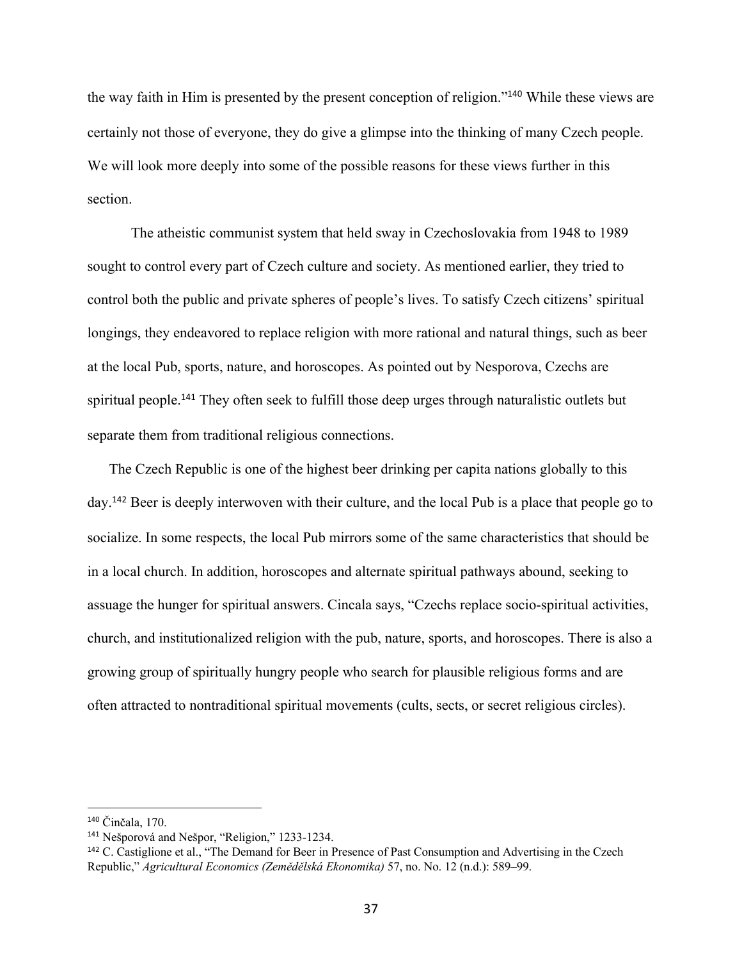the way faith in Him is presented by the present conception of religion."<sup>140</sup> While these views are certainly not those of everyone, they do give a glimpse into the thinking of many Czech people. We will look more deeply into some of the possible reasons for these views further in this section.

The atheistic communist system that held sway in Czechoslovakia from 1948 to 1989 sought to control every part of Czech culture and society. As mentioned earlier, they tried to control both the public and private spheres of people's lives. To satisfy Czech citizens' spiritual longings, they endeavored to replace religion with more rational and natural things, such as beer at the local Pub, sports, nature, and horoscopes. As pointed out by Nesporova, Czechs are spiritual people.<sup>141</sup> They often seek to fulfill those deep urges through naturalistic outlets but separate them from traditional religious connections.

The Czech Republic is one of the highest beer drinking per capita nations globally to this day.<sup>142</sup> Beer is deeply interwoven with their culture, and the local Pub is a place that people go to socialize. In some respects, the local Pub mirrors some of the same characteristics that should be in a local church. In addition, horoscopes and alternate spiritual pathways abound, seeking to assuage the hunger for spiritual answers. Cincala says, "Czechs replace socio-spiritual activities, church, and institutionalized religion with the pub, nature, sports, and horoscopes. There is also a growing group of spiritually hungry people who search for plausible religious forms and are often attracted to nontraditional spiritual movements (cults, sects, or secret religious circles).

<sup>140</sup> Činčala, 170.

<sup>141</sup> Nešporová and Nešpor, "Religion," 1233-1234.

<sup>&</sup>lt;sup>142</sup> C. Castiglione et al., "The Demand for Beer in Presence of Past Consumption and Advertising in the Czech Republic," *Agricultural Economics (Zemědělská Ekonomika)* 57, no. No. 12 (n.d.): 589–99.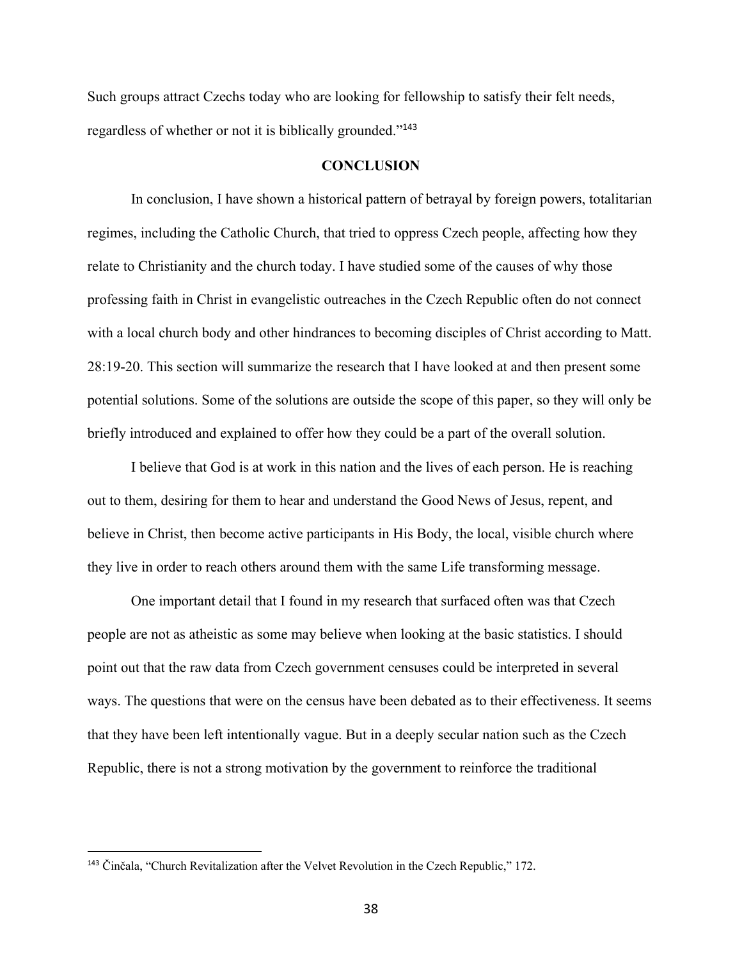Such groups attract Czechs today who are looking for fellowship to satisfy their felt needs, regardless of whether or not it is biblically grounded."<sup>143</sup>

#### **CONCLUSION**

In conclusion, I have shown a historical pattern of betrayal by foreign powers, totalitarian regimes, including the Catholic Church, that tried to oppress Czech people, affecting how they relate to Christianity and the church today. I have studied some of the causes of why those professing faith in Christ in evangelistic outreaches in the Czech Republic often do not connect with a local church body and other hindrances to becoming disciples of Christ according to Matt. 28:19-20. This section will summarize the research that I have looked at and then present some potential solutions. Some of the solutions are outside the scope of this paper, so they will only be briefly introduced and explained to offer how they could be a part of the overall solution.

I believe that God is at work in this nation and the lives of each person. He is reaching out to them, desiring for them to hear and understand the Good News of Jesus, repent, and believe in Christ, then become active participants in His Body, the local, visible church where they live in order to reach others around them with the same Life transforming message.

One important detail that I found in my research that surfaced often was that Czech people are not as atheistic as some may believe when looking at the basic statistics. I should point out that the raw data from Czech government censuses could be interpreted in several ways. The questions that were on the census have been debated as to their effectiveness. It seems that they have been left intentionally vague. But in a deeply secular nation such as the Czech Republic, there is not a strong motivation by the government to reinforce the traditional

<sup>&</sup>lt;sup>143</sup> Činčala, "Church Revitalization after the Velvet Revolution in the Czech Republic," 172.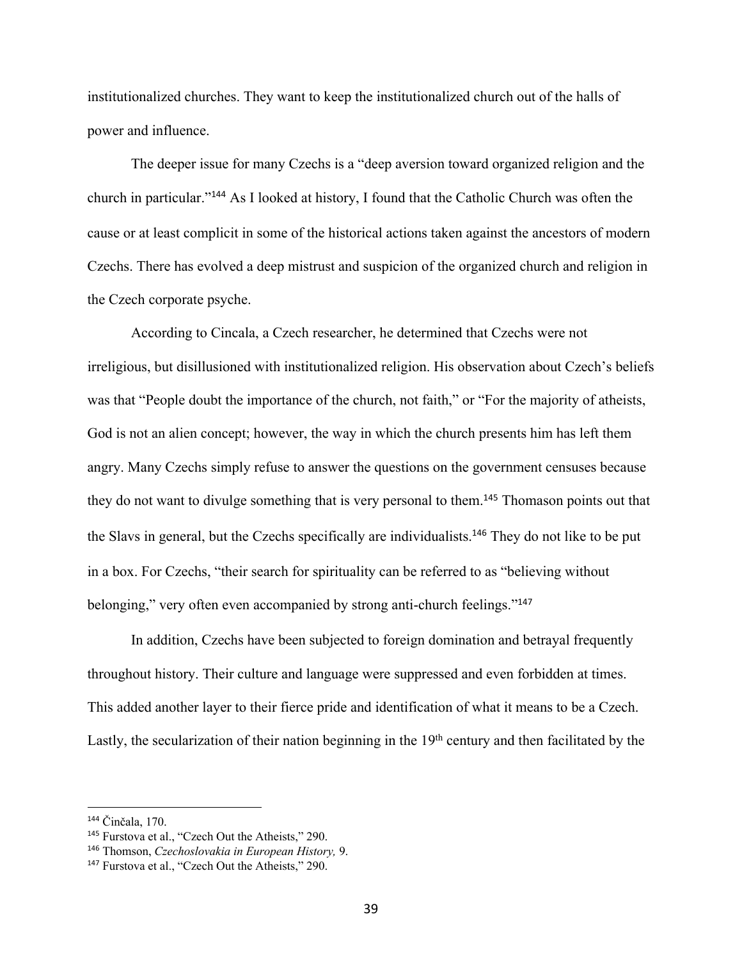institutionalized churches. They want to keep the institutionalized church out of the halls of power and influence.

The deeper issue for many Czechs is a "deep aversion toward organized religion and the church in particular."<sup>144</sup> As I looked at history, I found that the Catholic Church was often the cause or at least complicit in some of the historical actions taken against the ancestors of modern Czechs. There has evolved a deep mistrust and suspicion of the organized church and religion in the Czech corporate psyche.

According to Cincala, a Czech researcher, he determined that Czechs were not irreligious, but disillusioned with institutionalized religion. His observation about Czech's beliefs was that "People doubt the importance of the church, not faith," or "For the majority of atheists, God is not an alien concept; however, the way in which the church presents him has left them angry. Many Czechs simply refuse to answer the questions on the government censuses because they do not want to divulge something that is very personal to them.<sup>145</sup> Thomason points out that the Slavs in general, but the Czechs specifically are individualists.<sup>146</sup> They do not like to be put in a box. For Czechs, "their search for spirituality can be referred to as "believing without belonging," very often even accompanied by strong anti-church feelings."<sup>147</sup>

In addition, Czechs have been subjected to foreign domination and betrayal frequently throughout history. Their culture and language were suppressed and even forbidden at times. This added another layer to their fierce pride and identification of what it means to be a Czech. Lastly, the secularization of their nation beginning in the 19<sup>th</sup> century and then facilitated by the

<sup>144</sup> Činčala, 170.

<sup>145</sup> Furstova et al., "Czech Out the Atheists," 290.

<sup>146</sup> Thomson, *Czechoslovakia in European History,* 9.

<sup>147</sup> Furstova et al., "Czech Out the Atheists," 290.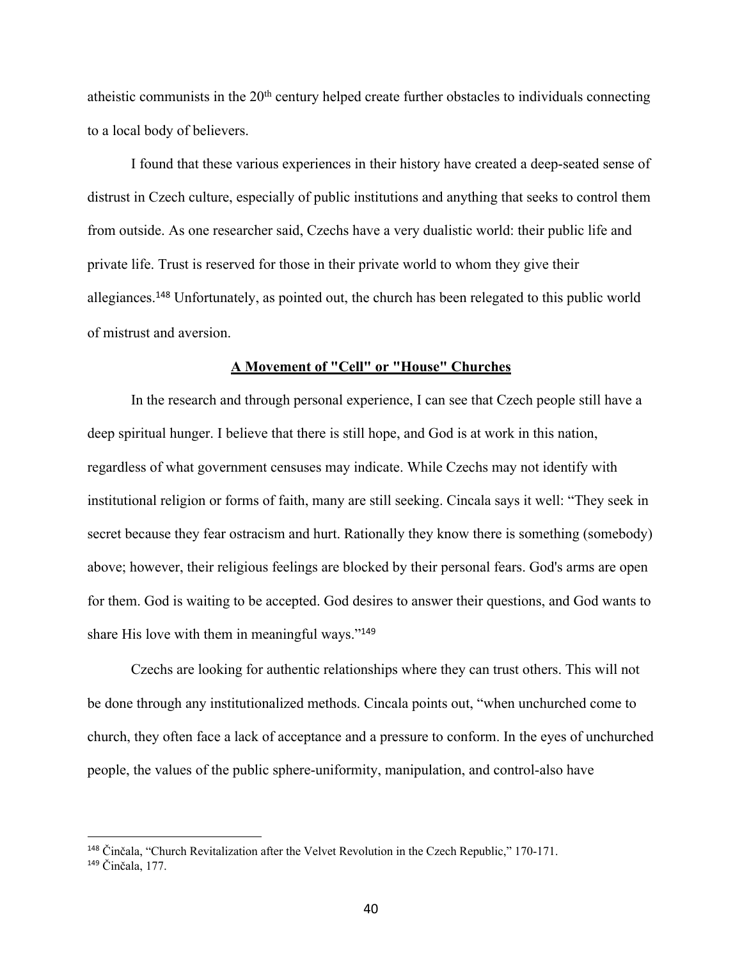atheistic communists in the  $20<sup>th</sup>$  century helped create further obstacles to individuals connecting to a local body of believers.

I found that these various experiences in their history have created a deep-seated sense of distrust in Czech culture, especially of public institutions and anything that seeks to control them from outside. As one researcher said, Czechs have a very dualistic world: their public life and private life. Trust is reserved for those in their private world to whom they give their allegiances.<sup>148</sup> Unfortunately, as pointed out, the church has been relegated to this public world of mistrust and aversion.

## **A Movement of "Cell" or "House" Churches**

In the research and through personal experience, I can see that Czech people still have a deep spiritual hunger. I believe that there is still hope, and God is at work in this nation, regardless of what government censuses may indicate. While Czechs may not identify with institutional religion or forms of faith, many are still seeking. Cincala says it well: "They seek in secret because they fear ostracism and hurt. Rationally they know there is something (somebody) above; however, their religious feelings are blocked by their personal fears. God's arms are open for them. God is waiting to be accepted. God desires to answer their questions, and God wants to share His love with them in meaningful ways."<sup>149</sup>

Czechs are looking for authentic relationships where they can trust others. This will not be done through any institutionalized methods. Cincala points out, "when unchurched come to church, they often face a lack of acceptance and a pressure to conform. In the eyes of unchurched people, the values of the public sphere-uniformity, manipulation, and control-also have

<sup>148</sup> Činčala, "Church Revitalization after the Velvet Revolution in the Czech Republic," 170-171.

<sup>149</sup> Činčala, 177.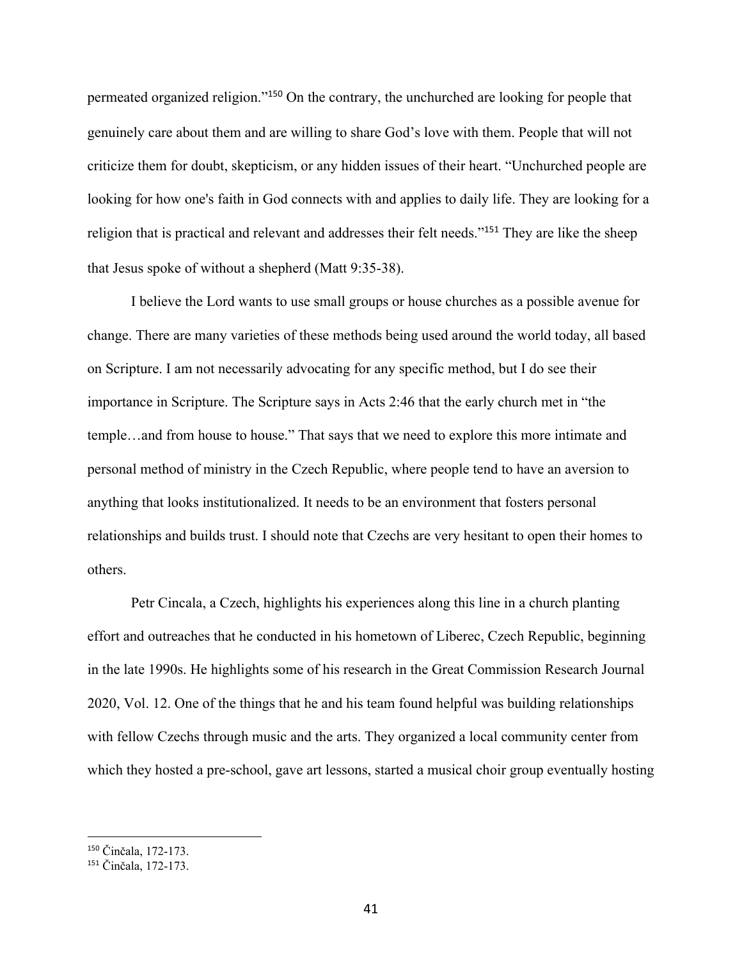permeated organized religion."<sup>150</sup> On the contrary, the unchurched are looking for people that genuinely care about them and are willing to share God's love with them. People that will not criticize them for doubt, skepticism, or any hidden issues of their heart. "Unchurched people are looking for how one's faith in God connects with and applies to daily life. They are looking for a religion that is practical and relevant and addresses their felt needs."<sup>151</sup> They are like the sheep that Jesus spoke of without a shepherd (Matt 9:35-38).

I believe the Lord wants to use small groups or house churches as a possible avenue for change. There are many varieties of these methods being used around the world today, all based on Scripture. I am not necessarily advocating for any specific method, but I do see their importance in Scripture. The Scripture says in Acts 2:46 that the early church met in "the temple…and from house to house." That says that we need to explore this more intimate and personal method of ministry in the Czech Republic, where people tend to have an aversion to anything that looks institutionalized. It needs to be an environment that fosters personal relationships and builds trust. I should note that Czechs are very hesitant to open their homes to others.

Petr Cincala, a Czech, highlights his experiences along this line in a church planting effort and outreaches that he conducted in his hometown of Liberec, Czech Republic, beginning in the late 1990s. He highlights some of his research in the Great Commission Research Journal 2020, Vol. 12. One of the things that he and his team found helpful was building relationships with fellow Czechs through music and the arts. They organized a local community center from which they hosted a pre-school, gave art lessons, started a musical choir group eventually hosting

<sup>150</sup> Činčala, 172-173.

<sup>151</sup> Činčala, 172-173.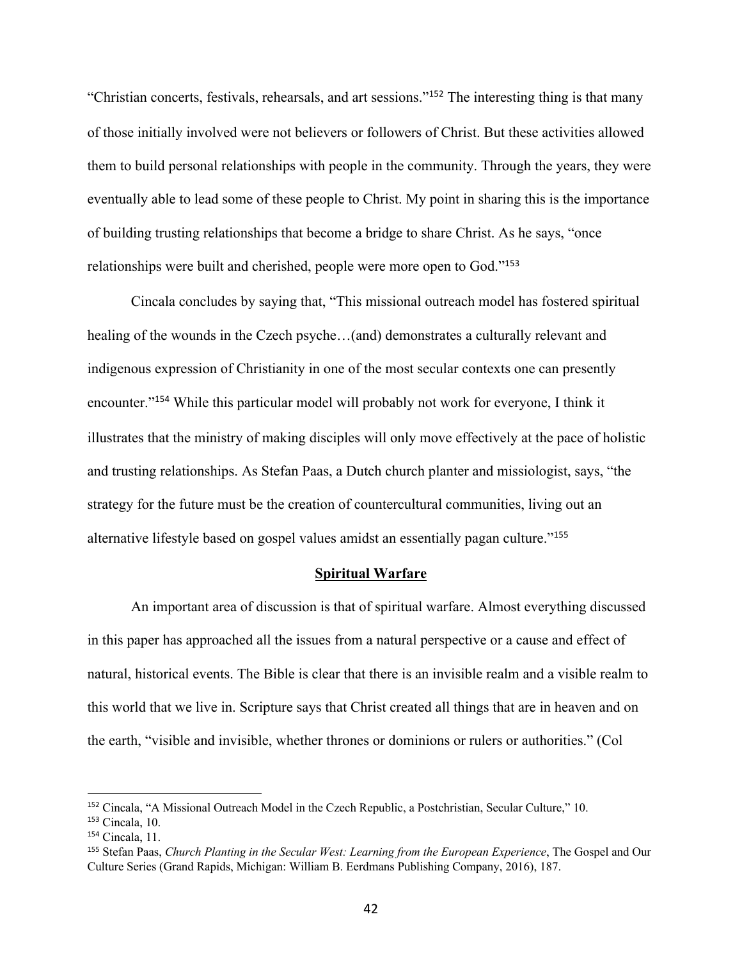"Christian concerts, festivals, rehearsals, and art sessions."<sup>152</sup> The interesting thing is that many of those initially involved were not believers or followers of Christ. But these activities allowed them to build personal relationships with people in the community. Through the years, they were eventually able to lead some of these people to Christ. My point in sharing this is the importance of building trusting relationships that become a bridge to share Christ. As he says, "once relationships were built and cherished, people were more open to God."<sup>153</sup>

Cincala concludes by saying that, "This missional outreach model has fostered spiritual healing of the wounds in the Czech psyche...(and) demonstrates a culturally relevant and indigenous expression of Christianity in one of the most secular contexts one can presently encounter."<sup>154</sup> While this particular model will probably not work for everyone, I think it illustrates that the ministry of making disciples will only move effectively at the pace of holistic and trusting relationships. As Stefan Paas, a Dutch church planter and missiologist, says, "the strategy for the future must be the creation of countercultural communities, living out an alternative lifestyle based on gospel values amidst an essentially pagan culture."<sup>155</sup>

#### **Spiritual Warfare**

An important area of discussion is that of spiritual warfare. Almost everything discussed in this paper has approached all the issues from a natural perspective or a cause and effect of natural, historical events. The Bible is clear that there is an invisible realm and a visible realm to this world that we live in. Scripture says that Christ created all things that are in heaven and on the earth, "visible and invisible, whether thrones or dominions or rulers or authorities." (Col

<sup>152</sup> Cincala, "A Missional Outreach Model in the Czech Republic, a Postchristian, Secular Culture," 10.

<sup>153</sup> Cincala, 10.

<sup>154</sup> Cincala, 11.

<sup>155</sup> Stefan Paas, *Church Planting in the Secular West: Learning from the European Experience*, The Gospel and Our Culture Series (Grand Rapids, Michigan: William B. Eerdmans Publishing Company, 2016), 187.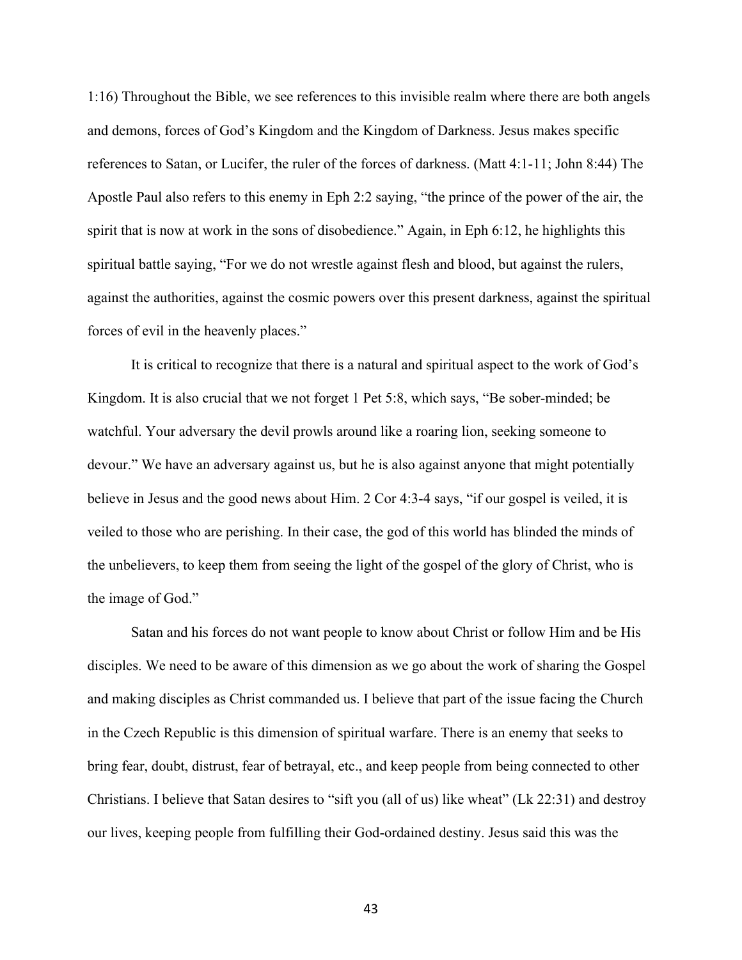1:16) Throughout the Bible, we see references to this invisible realm where there are both angels and demons, forces of God's Kingdom and the Kingdom of Darkness. Jesus makes specific references to Satan, or Lucifer, the ruler of the forces of darkness. (Matt 4:1-11; John 8:44) The Apostle Paul also refers to this enemy in Eph 2:2 saying, "the prince of the power of the air, the spirit that is now at work in the sons of disobedience." Again, in Eph 6:12, he highlights this spiritual battle saying, "For we do not wrestle against flesh and blood, but against the rulers, against the authorities, against the cosmic powers over this present darkness, against the spiritual forces of evil in the heavenly places."

It is critical to recognize that there is a natural and spiritual aspect to the work of God's Kingdom. It is also crucial that we not forget 1 Pet 5:8, which says, "Be sober-minded; be watchful. Your adversary the devil prowls around like a roaring lion, seeking someone to devour." We have an adversary against us, but he is also against anyone that might potentially believe in Jesus and the good news about Him. 2 Cor 4:3-4 says, "if our gospel is veiled, it is veiled to those who are perishing. In their case, the god of this world has blinded the minds of the unbelievers, to keep them from seeing the light of the gospel of the glory of Christ, who is the image of God."

Satan and his forces do not want people to know about Christ or follow Him and be His disciples. We need to be aware of this dimension as we go about the work of sharing the Gospel and making disciples as Christ commanded us. I believe that part of the issue facing the Church in the Czech Republic is this dimension of spiritual warfare. There is an enemy that seeks to bring fear, doubt, distrust, fear of betrayal, etc., and keep people from being connected to other Christians. I believe that Satan desires to "sift you (all of us) like wheat" (Lk 22:31) and destroy our lives, keeping people from fulfilling their God-ordained destiny. Jesus said this was the

43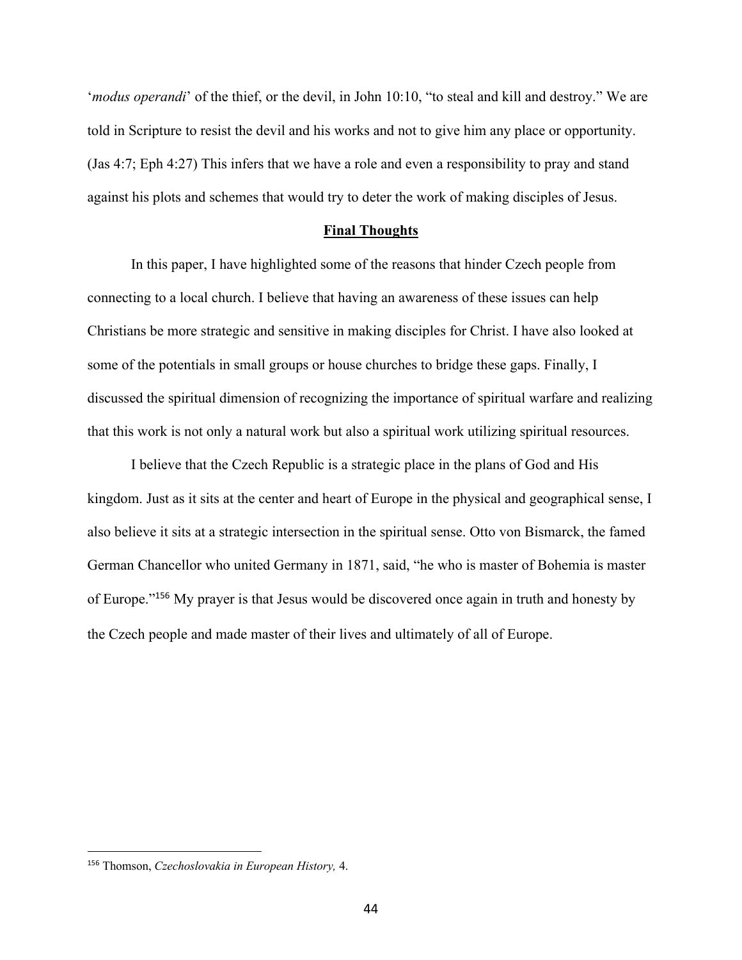'*modus operandi*' of the thief, or the devil, in John 10:10, "to steal and kill and destroy." We are told in Scripture to resist the devil and his works and not to give him any place or opportunity. (Jas 4:7; Eph 4:27) This infers that we have a role and even a responsibility to pray and stand against his plots and schemes that would try to deter the work of making disciples of Jesus.

## **Final Thoughts**

In this paper, I have highlighted some of the reasons that hinder Czech people from connecting to a local church. I believe that having an awareness of these issues can help Christians be more strategic and sensitive in making disciples for Christ. I have also looked at some of the potentials in small groups or house churches to bridge these gaps. Finally, I discussed the spiritual dimension of recognizing the importance of spiritual warfare and realizing that this work is not only a natural work but also a spiritual work utilizing spiritual resources.

I believe that the Czech Republic is a strategic place in the plans of God and His kingdom. Just as it sits at the center and heart of Europe in the physical and geographical sense, I also believe it sits at a strategic intersection in the spiritual sense. Otto von Bismarck, the famed German Chancellor who united Germany in 1871, said, "he who is master of Bohemia is master of Europe."<sup>156</sup> My prayer is that Jesus would be discovered once again in truth and honesty by the Czech people and made master of their lives and ultimately of all of Europe.

<sup>156</sup> Thomson, *Czechoslovakia in European History,* 4.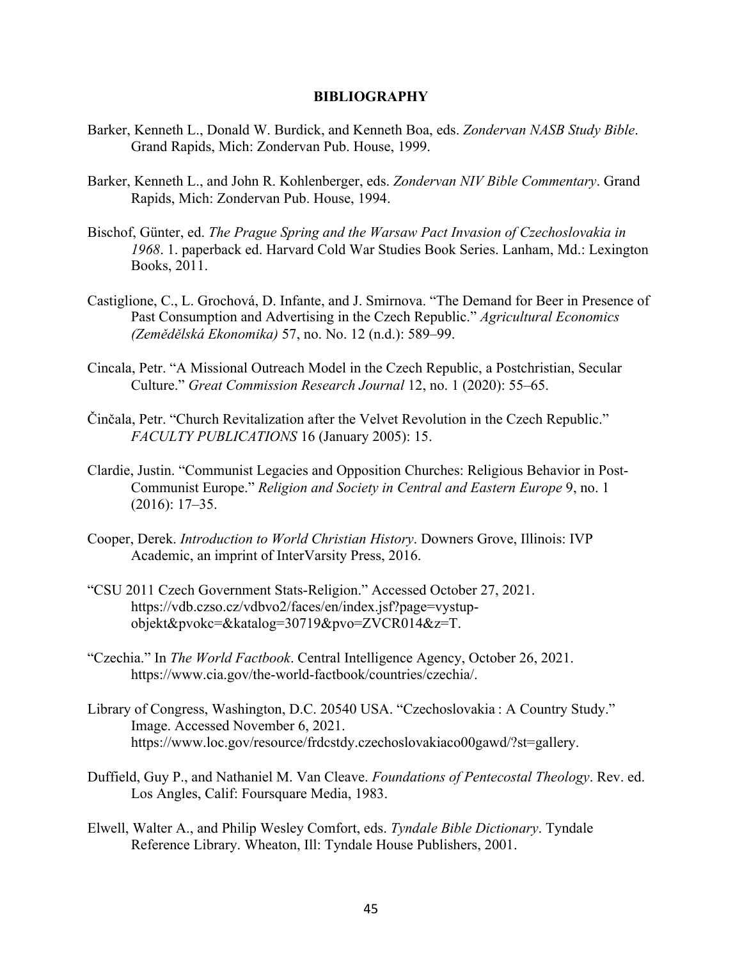#### **BIBLIOGRAPHY**

- Barker, Kenneth L., Donald W. Burdick, and Kenneth Boa, eds. *Zondervan NASB Study Bible*. Grand Rapids, Mich: Zondervan Pub. House, 1999.
- Barker, Kenneth L., and John R. Kohlenberger, eds. *Zondervan NIV Bible Commentary*. Grand Rapids, Mich: Zondervan Pub. House, 1994.
- Bischof, Günter, ed. *The Prague Spring and the Warsaw Pact Invasion of Czechoslovakia in 1968*. 1. paperback ed. Harvard Cold War Studies Book Series. Lanham, Md.: Lexington Books, 2011.
- Castiglione, C., L. Grochová, D. Infante, and J. Smirnova. "The Demand for Beer in Presence of Past Consumption and Advertising in the Czech Republic." *Agricultural Economics (Zemědělská Ekonomika)* 57, no. No. 12 (n.d.): 589–99.
- Cincala, Petr. "A Missional Outreach Model in the Czech Republic, a Postchristian, Secular Culture." *Great Commission Research Journal* 12, no. 1 (2020): 55–65.
- Činčala, Petr. "Church Revitalization after the Velvet Revolution in the Czech Republic." *FACULTY PUBLICATIONS* 16 (January 2005): 15.
- Clardie, Justin. "Communist Legacies and Opposition Churches: Religious Behavior in Post-Communist Europe." *Religion and Society in Central and Eastern Europe* 9, no. 1 (2016): 17–35.
- Cooper, Derek. *Introduction to World Christian History*. Downers Grove, Illinois: IVP Academic, an imprint of InterVarsity Press, 2016.
- "CSU 2011 Czech Government Stats-Religion." Accessed October 27, 2021. https://vdb.czso.cz/vdbvo2/faces/en/index.jsf?page=vystupobjekt&pvokc=&katalog=30719&pvo=ZVCR014&z=T.
- "Czechia." In *The World Factbook*. Central Intelligence Agency, October 26, 2021. https://www.cia.gov/the-world-factbook/countries/czechia/.
- Library of Congress, Washington, D.C. 20540 USA. "Czechoslovakia : A Country Study." Image. Accessed November 6, 2021. https://www.loc.gov/resource/frdcstdy.czechoslovakiaco00gawd/?st=gallery.
- Duffield, Guy P., and Nathaniel M. Van Cleave. *Foundations of Pentecostal Theology*. Rev. ed. Los Angles, Calif: Foursquare Media, 1983.
- Elwell, Walter A., and Philip Wesley Comfort, eds. *Tyndale Bible Dictionary*. Tyndale Reference Library. Wheaton, Ill: Tyndale House Publishers, 2001.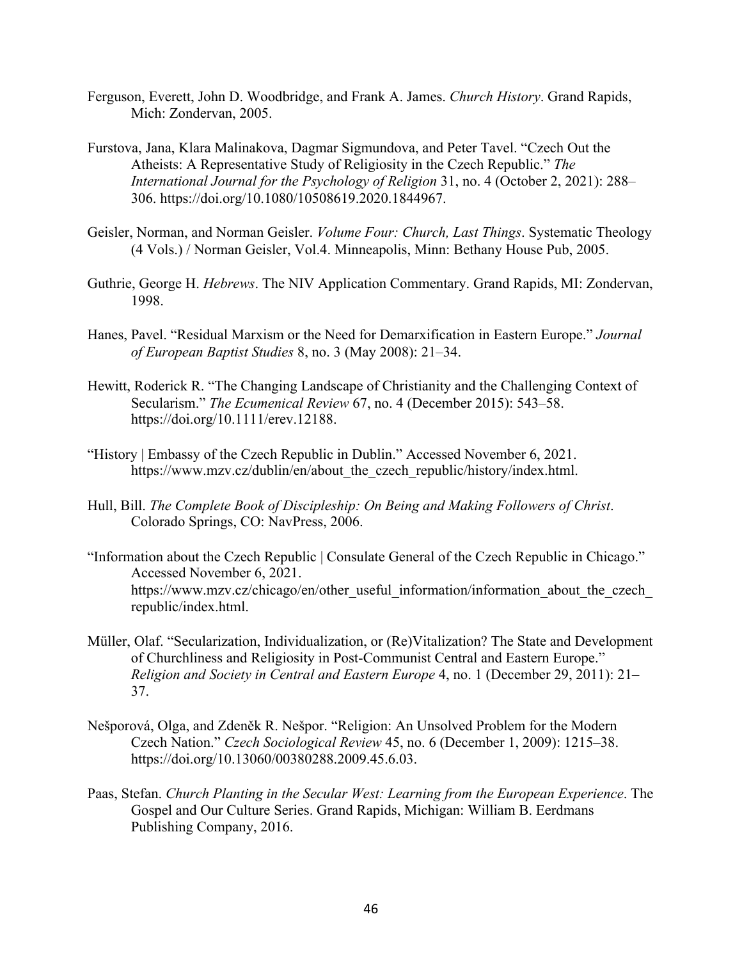- Ferguson, Everett, John D. Woodbridge, and Frank A. James. *Church History*. Grand Rapids, Mich: Zondervan, 2005.
- Furstova, Jana, Klara Malinakova, Dagmar Sigmundova, and Peter Tavel. "Czech Out the Atheists: A Representative Study of Religiosity in the Czech Republic." *The International Journal for the Psychology of Religion* 31, no. 4 (October 2, 2021): 288– 306. https://doi.org/10.1080/10508619.2020.1844967.
- Geisler, Norman, and Norman Geisler. *Volume Four: Church, Last Things*. Systematic Theology (4 Vols.) / Norman Geisler, Vol.4. Minneapolis, Minn: Bethany House Pub, 2005.
- Guthrie, George H. *Hebrews*. The NIV Application Commentary. Grand Rapids, MI: Zondervan, 1998.
- Hanes, Pavel. "Residual Marxism or the Need for Demarxification in Eastern Europe." *Journal of European Baptist Studies* 8, no. 3 (May 2008): 21–34.
- Hewitt, Roderick R. "The Changing Landscape of Christianity and the Challenging Context of Secularism." *The Ecumenical Review* 67, no. 4 (December 2015): 543–58. https://doi.org/10.1111/erev.12188.
- "History | Embassy of the Czech Republic in Dublin." Accessed November 6, 2021. https://www.mzv.cz/dublin/en/about the czech republic/history/index.html.
- Hull, Bill. *The Complete Book of Discipleship: On Being and Making Followers of Christ*. Colorado Springs, CO: NavPress, 2006.
- "Information about the Czech Republic | Consulate General of the Czech Republic in Chicago." Accessed November 6, 2021. https://www.mzv.cz/chicago/en/other\_useful\_information/information\_about\_the\_czech republic/index.html.
- Müller, Olaf. "Secularization, Individualization, or (Re)Vitalization? The State and Development of Churchliness and Religiosity in Post-Communist Central and Eastern Europe." *Religion and Society in Central and Eastern Europe* 4, no. 1 (December 29, 2011): 21– 37.
- Nešporová, Olga, and Zdeněk R. Nešpor. "Religion: An Unsolved Problem for the Modern Czech Nation." *Czech Sociological Review* 45, no. 6 (December 1, 2009): 1215–38. https://doi.org/10.13060/00380288.2009.45.6.03.
- Paas, Stefan. *Church Planting in the Secular West: Learning from the European Experience*. The Gospel and Our Culture Series. Grand Rapids, Michigan: William B. Eerdmans Publishing Company, 2016.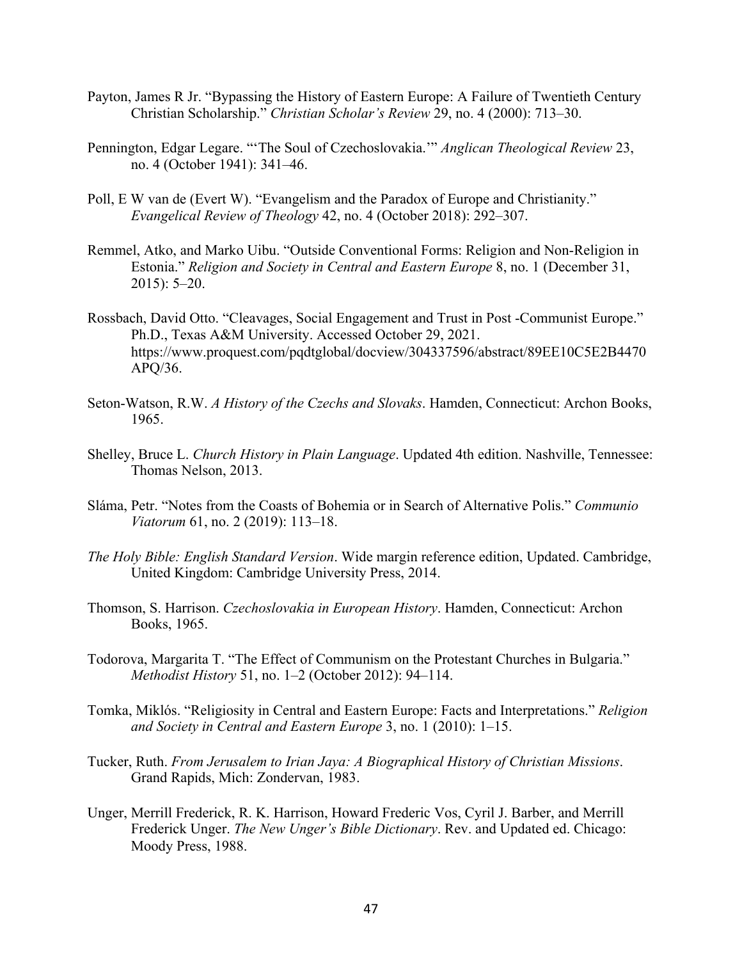- Payton, James R Jr. "Bypassing the History of Eastern Europe: A Failure of Twentieth Century Christian Scholarship." *Christian Scholar's Review* 29, no. 4 (2000): 713–30.
- Pennington, Edgar Legare. "'The Soul of Czechoslovakia.'" *Anglican Theological Review* 23, no. 4 (October 1941): 341–46.
- Poll, E W van de (Evert W). "Evangelism and the Paradox of Europe and Christianity." *Evangelical Review of Theology* 42, no. 4 (October 2018): 292–307.
- Remmel, Atko, and Marko Uibu. "Outside Conventional Forms: Religion and Non-Religion in Estonia." *Religion and Society in Central and Eastern Europe* 8, no. 1 (December 31, 2015): 5–20.
- Rossbach, David Otto. "Cleavages, Social Engagement and Trust in Post -Communist Europe." Ph.D., Texas A&M University. Accessed October 29, 2021. https://www.proquest.com/pqdtglobal/docview/304337596/abstract/89EE10C5E2B4470 APQ/36.
- Seton-Watson, R.W. *A History of the Czechs and Slovaks*. Hamden, Connecticut: Archon Books, 1965.
- Shelley, Bruce L. *Church History in Plain Language*. Updated 4th edition. Nashville, Tennessee: Thomas Nelson, 2013.
- Sláma, Petr. "Notes from the Coasts of Bohemia or in Search of Alternative Polis." *Communio Viatorum* 61, no. 2 (2019): 113–18.
- *The Holy Bible: English Standard Version*. Wide margin reference edition, Updated. Cambridge, United Kingdom: Cambridge University Press, 2014.
- Thomson, S. Harrison. *Czechoslovakia in European History*. Hamden, Connecticut: Archon Books, 1965.
- Todorova, Margarita T. "The Effect of Communism on the Protestant Churches in Bulgaria." *Methodist History* 51, no. 1–2 (October 2012): 94–114.
- Tomka, Miklós. "Religiosity in Central and Eastern Europe: Facts and Interpretations." *Religion and Society in Central and Eastern Europe* 3, no. 1 (2010): 1–15.
- Tucker, Ruth. *From Jerusalem to Irian Jaya: A Biographical History of Christian Missions*. Grand Rapids, Mich: Zondervan, 1983.
- Unger, Merrill Frederick, R. K. Harrison, Howard Frederic Vos, Cyril J. Barber, and Merrill Frederick Unger. *The New Unger's Bible Dictionary*. Rev. and Updated ed. Chicago: Moody Press, 1988.